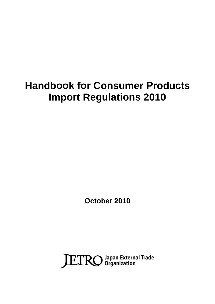# **Handbook for Consumer Products Import Regulations 2010**

**October 2010**

JETRO Japan External Trade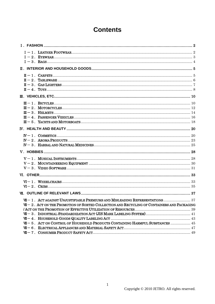# **Contents**

|  | $III-4. PASSENGER VEHICLES$                                                                    |  |  |  |
|--|------------------------------------------------------------------------------------------------|--|--|--|
|  |                                                                                                |  |  |  |
|  |                                                                                                |  |  |  |
|  |                                                                                                |  |  |  |
|  |                                                                                                |  |  |  |
|  |                                                                                                |  |  |  |
|  |                                                                                                |  |  |  |
|  |                                                                                                |  |  |  |
|  |                                                                                                |  |  |  |
|  |                                                                                                |  |  |  |
|  |                                                                                                |  |  |  |
|  |                                                                                                |  |  |  |
|  |                                                                                                |  |  |  |
|  |                                                                                                |  |  |  |
|  |                                                                                                |  |  |  |
|  | $WI - 2$ . ACT ON THE PROMOTION OF SORTED COLLECTION AND RECYCLING OF CONTAINERS AND PACKAGING |  |  |  |
|  |                                                                                                |  |  |  |
|  |                                                                                                |  |  |  |
|  |                                                                                                |  |  |  |
|  | $W = 5$ . ACT ON CONTROL OF HOUSEHOLD PRODUCTS CONTAINING HARMFUL SUBSTANCES  45               |  |  |  |
|  |                                                                                                |  |  |  |
|  |                                                                                                |  |  |  |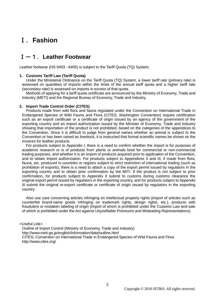# Ⅰ.**Fashion**

# Ⅰ-1.**Leather Footwear**

Leather footwear (HS 6403 - 6405) is subject to the Tariff Quota (TQ) System.

#### **1. Customs Tariff Law (Tariff Quota)**

Under the Ministerial Ordinance on the Tariff Quota (TQ) System, a lower tariff rate (primary rate) is assessed on quantities of imports within the limits of the annual tariff quota and a higher tariff rate (secondary rate) is assessed on imports in excess of that quota.

Methods of applying for a tariff quota certificate are announced by the Ministry of Economy, Trade and Industry (METI) and the Regional Bureau of Economy, Trade and Industry.

#### **2. Import Trade Control Order (CITES)**

Products made from wild flora and fauna regulated under the Convention on International Trade in Endangered Species of Wild Fauna and Flora (CITES, Washington Convention) require certification such as an export certificate or a certificate of origin issued by an agency of the government of the exporting country and an import authorization issued by the Minister of Economy, Trade and Industry showing that importation of the product is not prohibited, based on the categories of the appendices to the Convention. Since it is difficult to judge from general names whether an animal is subject to the Convention or has been raised as livestock, it is instructed that formal scientific names be shown on the invoices for leather products.

For products subject to Appendix I, there is a need to confirm whether the import is for purposes of academic research or is of products from plants or animals bred for commercial or non-commercial trading purposes, and whether it is an import of products acquired prior to application of the Convention, and to obtain import authorization. For products subject to Appendices II and III, if made from flora, fauna, etc. produced in countries or regions subject to strict restriction of international trading (such as prohibition of exports), there is a need to attach a copy of the export permit issued by regulators in the exporting country and to obtain prior confirmation by the MITI. If the product is not subject to prior confirmation, for products subject to Appendix II submit to customs during customs clearance the original export permit issued by regulators in the exporting country, and for products subject to Appendix III submit the original re-export certificate or certificate of origin issued by regulators in the exporting country.

Also use care concerning articles infringing on intellectual property rights (import of articles such as counterfeit brand-name goods infringing on trademark rights, design rights, etc.), products with fraudulent or mistaken labeling of origin (import of which is prohibited under the Customs Law and sale of which is prohibited under the Act against Unjustifiable Premiums and Misleading Representations).

<Useful Link>

Outline of Import Control (Ministry of Economy, Trade and Industry) http://www.meti.go.jp/english/information/data/outline.html CITES; Convention on International Trade in Endangered Species of Wild Fauna and Flora http://www.cites.org/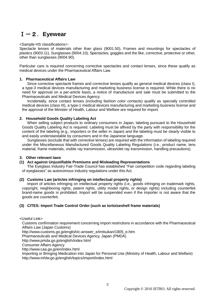# Ⅰ-2.**Eyewear**

# <Sample HS classifications>:

Spectacle lenses of materials other than glass (9001.50), Frames and mountings for spectacles of plastics (9003.11), Sunglasses (9004.10), Spectacles, goggles and the like, corrective, protective or other, other than sunglasses (9004.90).

Particular care is required concerning corrective spectacles and contact lenses, since these qualify as medical devices under the Pharmaceutical Affairs Law.

# **1. Pharmaceutical Affairs Law**

Since corrective spectacle frames and corrective lenses qualify as general medical devices (class I), a type-3 medical devices manufacturing and marketing business license is required. While there is no need for approval on a per-article basis, a notice of manufacture and sale must be submitted to the Pharmaceuticals and Medical Devices Agency.

Incidentally, since contact lenses (including fashion color contacts) qualify as specially controlled medical devices (class III), a type-1 medical devices manufacturing and marketing business license and the approval of the Minister of Health, Labour and Welfare are required for import.

# **2. Household Goods Quality Labeling Act**

When selling subject products to ordinary consumers in Japan, labeling pursuant to the Household Goods Quality Labeling Act is required. Labeling must be affixed by the party with responsibility for the content of the labeling (e.g., importers or the seller in Japan) and the labeling must be clearly visible to and easily understandable by consumers and in the Japanese language.

Sunglasses (exclude that with corrective lenses) are required with the information of labeling required under the Miscellaneous Manufactured Goods Quality Labeling Regulations (i.e., product name, lens material, frame materials, visible ray transmission, ultraviolet ray transmission, handling precautions).

# **3. Other relevant laws**

#### **(1) Act against Unjustifiable Premiums and Misleading Representations**

The Eyeglass Industry Fair-Trade Council has established "Fair competition code regarding labeling of eyeglasses" as autonomous industry regulations under this Act.

# **(2) Customs Law (articles infringing on intellectual property rights)**

Import of articles infringing on intellectual property rights (i.e., goods infringing on trademark rights, copyright, neighboring rights, patent rights, utility model rights, or design rights) including counterfeit brand-name goods is prohibited. Import will be suspended even if the importer is not aware that the goods are counterfeit.

# **(3) CITES: Import Trade Control Order (such as tortoiseshell frame materials)**

<Useful Link>

Customs confirmation requirement concerning import restrictions in accordance with the Pharmaceutical Affairs Law (Japan Customs)

http://www.customs.go.jp/english/c-answer\_e/imtsukan/1805\_e.htm

Pharmaceuticals and Medical Devices Agency, Japan (PMDA)

http://www.pmda.go.jp/english/index.html

Consumer Affairs Agency

http://www.caa.go.jp/en/index.html

Importing or Bringing Medication into Japan for Personal Use (Ministry of Health, Labour and Welfare) http://www.mhlw.go.jp/english/topics/import/index.html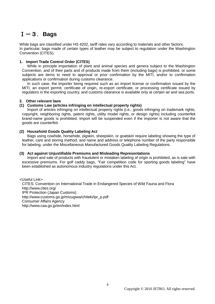# Ⅰ-3.**Bags**

While bags are classified under HS 4202, tariff rates vary according to materials and other factors. In particular, bags made of certain types of leather may be subject to regulation under the Washington Convention (CITES).

# **1. Import Trade Control Order (CITES)**

While in principle importation of plant and animal species and genera subject to the Washington Convention, and of their parts and of products made from them (including bags) is prohibited, or some subjects are items to need to approval or prior confirmation by the MITI, and/or to confirmation applications or confirmation during customs clearance.

In such case, the importer being required such as an import license or confirmation issued by the MITI, an export permit, certificate of origin, re-export certificate, or processing certificate issued by regulators in the exporting country, and customs clearance is available only at certain air and sea ports.

# **2. Other relevant laws**

# **(1) Customs Law (articles infringing on intellectual property rights)**

Import of articles infringing on intellectual property rights (i.e., goods infringing on trademark rights, copyright, neighboring rights, patent rights, utility model rights, or design rights) including counterfeit brand-name goods is prohibited. Import will be suspended even if the importer is not aware that the goods are counterfeit.

# **(2) Household Goods Quality Labeling Act**

Bags using cowhide, horsehide, pigskin, sheepskin, or goatskin require labeling showing the type of leather, care and storing method, and name and address or telephone number of the party responsible for labeling, under the Miscellaneous Manufactured Goods Quality Labeling Regulations.

# **(3) Act against Unjustifiable Premiums and Misleading Representations**

Import and sale of products with fraudulent or mistaken labeling of origin is prohibited, as is sale with excessive premiums. For golf caddy bags, "Fair competition code for sporting goods labeling" have been established as autonomous industry regulations under this Act.

<Useful Link> CITES; Convention on International Trade in Endangered Species of Wild Fauna and Flora http://www.cites.org/ IPR Protection (Japan Customs) http://www.customs.go.jp/mizugiwa/chiteki/ipr\_p.pdf Consumer Affairs Agency http://www.caa.go.jp/en/index.html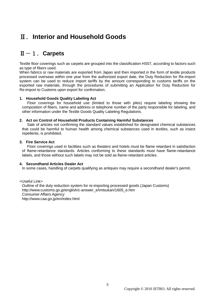# Ⅱ.**Interior and Household Goods**

# Ⅱ-1.**Carpets**

Textile floor coverings such as carpets are grouped into the classification HS57, according to factors such as type of fibers used.

When fabrics or raw materials are exported from Japan and then imported in the form of textile products processed overseas within one year from the authorized export date, the Duty Reduction for Re-import system can be used to reduce import tariffs by the amount corresponding to customs tariffs on the exported raw materials, through the procedures of submitting an Application for Duty Reduction for Re-import to Customs upon export for confirmation.

# **1. Household Goods Quality Labeling Act**

Floor coverings for household use (limited to those with piles) require labeling showing the composition of fibers, name and address or telephone number of the party responsible for labeling, and other information under the Textile Goods Quality Labeling Regulations.

# **2. Act on Control of Household Products Containing Harmful Substances**

Sale of articles not confirming the standard values established for designated chemical substances that could be harmful to human health among chemical substances used in textiles, such as insect repellents, is prohibited.

# **3. Fire Service Act**

Floor coverings used in facilities such as theaters and hotels must be flame retardant in satisfaction of flame-retardance standards. Articles conforming to these standards must have flame-retardance labels, and those without such labels may not be sold as flame-retardant articles.

# **4. Secondhand Articles Dealer Act**

In some cases, handling of carpets qualifying as antiques may require a secondhand dealer's permit.

<Useful Link> Outline of the duty reduction system for re-importing processed goods (Japan Customs) http://www.customs.go.jp/english/c-answer\_e/imtsukan/1605\_e.htm Consumer Affairs Agency http://www.caa.go.jp/en/index.html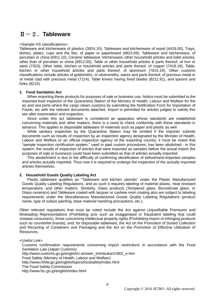# Ⅱ-2.**Tableware**

#### <Sample HS classifications>:

Tableware and kitchenware of plastics (3924.10), Tableware and kitchenware of wood (4419.00), Trays, dishes, plates, cups and the like, of paper or paperboard (4823.69), Tableware and kitchenware, of porcelain or china (6911.10), Ceramic tableware, kitchenware, other household articles and toilet articles, other than of porcelain or china (6912.00), Table or other household articles & parts thereof, of iron or steel (7323), Other table, kitchen or household articles and parts thereof, of copper (7418.19), Table, kitchen or other household articles and parts thereof, of aluminum (7615.19). Other customs classifications include articles of goldsmiths, or silversmiths, wares and parts thereof, of precious metal or of metal clad with precious metal (7114), Table knives having fixed blades (8211.91), and spoons and forks (8215).

#### **1. Food Sanitation Act**

When importing these products for purposes of sale or business use, Notice must be submitted to the imported food inspector of the Quarantine Station of the Ministry of Health, Labour and Welfare for the air and sea ports where the cargo clears customs by submitting the Notification Form for Importation of Foods, etc with the relevant documents attached. Import is permitted for articles judged to satisfy this law after examination and inspection.

Since under this act tableware is considered an apparatus whose standards are established concerning materials and other matters, there is a need to check conformity with these standards in advance. This applies to disposable tableware of materials such as paper and plastic as well.

While sanitary inspection by the Quarantine Station may be omitted if the importer submits documents such as results of inspection by an inspection agency designated by the Minister of Health, Labour and Welfare or an official inspection agency of the exporting country, it must be noted that "sample inspection certification system," used in past custom procedures, has been abolished - in this system, the results of inspection of articles that were imported as samples before the actual import (for purposes of sale or business) could have been submitted as that of articles actually imported.

This abolishment is due to the difficulty of confirming identification of beforehand-imported samples and articles actually imported. Thus now it is required to undergo the inspection of the actually imported articles themselves.

# **2. Household Goods Quality Labeling Act**

Plastic tableware qualifies as "Tableware and kitchen utensils" under the Plastic Manufactured Goods Quality Labeling Regulations, and as such it requires labeling of material plastic, heat resistant temperature, and other matters. Similarly, Glass products (Tempered glass, Borosilicate glass, or Glass-ceramics) and Tableware coated with lacquer or cashew resin coating also are subject to labeling requirements under the Miscellaneous Manufactured Goods Quality Labeling Regulations (product name, type of suface painting, base material handring precautions, etc.).

Other relevant regulations that must be noted include the Act against Unjustifiable Premiums and Misleading Representations (Prohibiting acts such as exaggerated or fraudulent labeling that could mislead consumers), those concerning intellectual property rights (Prohibiting import of infringing products such as counterfeit brands), and, for disposable tableware, the Act on the Promotion of Sorted Collection and Recycling of Containers and Packaging and the Act on the Promotion of Effective Utilization of Resources.

<Useful Link>

Customs confirmation requirements concerning import restrictions in accordance with the Food Sanitation Law (Japan Customs) http://www.customs.go.jp/english/c-answer\_e/imtsukan/1802\_e.htm Food Safety (Ministry of Health, Labour and Welfare) http://www.mhlw.go.jp/english/topics/foodsafety/index.html The Food Safety Commission http://www.fsc.go.jp/english/index.html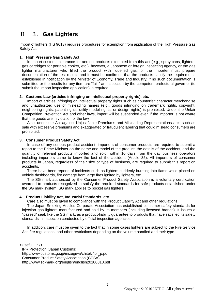# Ⅱ-3.**Gas Lighters**

Import of lighters (HS 9613) requires procedures for exemption from application of the High Pressure Gas Safety Act.

# **1. High Pressure Gas Safety Act**

In import customs clearance for aerosol products exempted from this act (e.g., spray cans, lighters, gas cartridges for portable cooker, etc.), however, a Japanese or foreign inspecting agency, or the gas lighter manufacturer who filled the product with liquefied gas, or the importer must prepare documentation of the test results and it must be confirmed that the products satisfy the requirements established in notification by the Minister of Economy, Trade and Industry. If no such documentation is submitted or the results for any item are "fail," an inspection by the competent prefectural governor (to submit the import inspection application) is required.

# **2. Customs Law (articles infringing on intellectual property rights), etc.**

Import of articles infringing on intellectual property rights such as counterfeit character merchandise and unauthorized use of misleading names (e.g., goods infringing on trademark rights, copyright, neighboring rights, patent rights, utility model rights, or design rights) is prohibited. Under the Unfair Competition Prevention Act and other laws, import will be suspended even if the importer is not aware that the goods are in violation of the law.

Also, under the Act against Unjustifiable Premiums and Misleading Representations acts such as sale with excessive premiums and exaggerated or fraudulent labeling that could mislead consumers are prohibited.

# **3. Consumer Product Safety Act**

In case of any serious product accident, importers of consumer products are required to submit a report to the Prime Minister on the name and model of the product, the details of the accident, and the quantity of relevant products imported and sold, within 10 days from the day business operators including importers came to know the fact of the accident (Article 35). All importers of consumer products in Japan, regardless of their size or type of business, are required to submit this report on accidents.

There have been reports of incidents such as lighters suddenly bursting into flame while placed on vehicle dashboards, fire damage from large fires ignited by lighters, etc.

The SG mark authorized by the Consumer Product Safety Association is a voluntary certification awarded to products recognized to satisfy the required standards for safe products established under the SG mark system. SG mark applies to pocket gas lighters.

# **4. Product Liability Act, Industrial Standards, etc.**

Care also must be given to compliance with the Product Liability Act and other regulations.

The Japan Smoking Articles Corporate Association has established consumer safety standards for injection gas lighters manufactured and sold by its members (including licensed brands). It issues a "passed" seal, like the SG mark, as a product-liability guarantee to products that have satisfied its safety standards in inspection conducted by official inspection agencies.

In addition, care must be given to the fact that in some cases lighters are subject to the Fire Service Act, fire regulations, and other restrictions depending on the volume handled and their type.

<Useful Link> IPR Protection (Japan Customs) http://www.customs.go.jp/mizugiwa/chiteki/ipr\_p.pdf Consumer Product Safety Association (CPSA) http://www.sg-mark.org/english/english20100810.pdf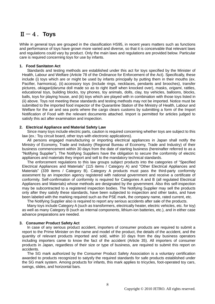# $II-4$ . Toys

While in general toys are grouped in the classification HS95, in recent years matters such as functions and performance of toys have grown more varied and diverse, so that it is conceivable that relevant laws and regulations could vary by product. Only the main laws and regulations are provided below. Particular care is required concerning toys for use by infants.

#### **1. Food Sanitaton Act**

Standards and testing methods are established under this act for toys specified by the Minister of Health, Labour and Welfare (Article 78 of the Ordinance for Enforcement of the Act). Specifically, these include (i) toys which are or might be used by infants principally by putting them in their mouths (ex. Pacifier, harmonica), (ii) accessory toys (include rings, necklaces, pendants and brooches), transfer pictures, *okiagari*(*daruma* doll made so as to right itself when knocked over), masks, *origami*, rattles, educational toys, building blocks, toy phones, toy animals, dolls, clay, toy vehicles, balloons, blocks, balls, toys for playing house, and (iii) toys which are played with in combination with those toys listed in (ii) above. Toys not meeting these standards and testing methods may not be imported. Notice must be submitted to the imported food inspector of the Quarantine Station of the Ministry of Health, Labour and Welfare for the air and sea ports where the cargo clears customs by submitting a form of the Import Notification of Food with the relevant documents attached. Import is permitted for articles judged to satisfy this act after examination and inspection.

#### **2. Electrical Appliance and Material Safety Law**

Since many toys include electric parts, caution is required concerning whether toys are subject to this law (ex.: Toy circuit board, other toys with electronic applications).

All persons engaged manufacturing or importing electrical appliances in Japan shall notify the Ministry of Economy, Trade and Industry (Regional Bureau of Economy, Trade and Industry) of their business commencement within 30 days from the date of starting business (hereinafter referred to as a "Notifying Supplier"). The Notifying Suppliers have the obligation to secure the conformity of electric appliances and materials they import and sell to the mandatory technical standards.

The enforcement regulations to this law groups subject products into the categories of "Specified Electrical Appliances and Materials" (115 items / Category A) and "Other Electrical Appliances and Materials" (339 items / Category B). Category A products must pass the third-party conformity assesment by an inspection agency registered with national government and receive a certificate of conformity. Self-confirmation of conformity is required for Categories A and B (all regulated Electrical Appliances and Materials) whose methods are designated by the government. Also this self-inspection may be subcontracted to a registered inspection bodies. The Notifying Supplier may sell the products only after they satisfy these standards, have been subjected to inspection and other tasks, and have been labeled with the marking required such as the PSE mark, the company name, rated current, etc.

The Notifying Supplier also is required to report any serious accidents after sale of the products.

Many toys include Category A (such as transformers, electrically heater, electric vehicles, etc. for toy) as well as many Category B (such as internal components, lithium-ion batteries, etc.), and in either case advance preparations are needed.

# **3. Consumer Product Safety Act**

In case of any serious product accident, importers of consumer products are required to submit a report to the Prime Minister on the name and model of the product, the details of the accident, and the quantity of relevant products imported and sold, within 10 days from the day business operators including importers came to know the fact of the accident (Article 35). All importers of consumer products in Japan, regardless of their size or type of business, are required to submit this report on accidents.

The SG mark authorized by the Consumer Product Safety Association is a voluntary certification awarded to products recognized to satysfy the required standards for safe products established under the SG mark system. Among products for infants, this mark applies to tricycles, foot-operated toy cars, swings, slides, and horizontal bars.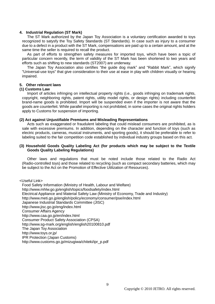#### **4. Industrial Regulation (ST Mark)**

The ST Mark authorized by the Japan Toy Association is a voluntary certification awarded to toys recognized to satysfy the Toy Safety Standards (ST Standards). In case such as injury to a consumer due to a defect in a product with the ST Mark, compensations are paid up to a certain amount, and at the same time the seller is required to recall the product.

As part of efforts to strengthen safety measures for imported toys, which have been a topic of particular concern recently, the term of validity of the ST Mark has been shortened to two years and efforts such as shifting to new standards (ST2007) are underway.

The Japan Toy Association also certifies "the guide dog mark" and "Rabbit Mark", which signify "Universal-use toys" that give consideration to their use at ease in play with children visually or hearing impaired.

# **5. Other relevant laws**

#### **(1) Customs Law**

Import of articles infringing on intellectual property rights (i.e., goods infringing on trademark rights, copyright, neighboring rights, patent rights, utility model rights, or design rights) including counterfeit brand-name goods is prohibited. Import will be suspended even if the importer is not aware that the goods are counterfeit. While parallel importing is not prohibited, in some cases the original rights holders apply to Customs for suspension of importing.

#### **(2) Act against Unjustifiable Premiums and Misleading Representations**

Acts such as exaggerated or fraudulent labeling that could mislead consumers are prohibited, as is sale with excessive premiums. In addition, depending on the character and function of toys (such as electric products, cameras, musical instruments, and sporting goods), it should be preferable to refer to labeling suited to the fair competition code established by individual industry groups based on this act.

#### **(3) Household Goods Quality Labeling Act (for products which may be subject to the Textile Goods Quality Labeling Regulations)**

Other laws and regulations that must be noted include those related to the Radio Act (Radio-controlled toys) and those related to recycling (such as compact secondary batteries, which may be subject to the Act on the Promotion of Effective Utilization of Resources).

<Useful Link>

Food Safety Information (Ministry of Health, Labour and Welfare) http://www.mhlw.go.jp/english/topics/foodsafety/index.html Electrical Appliance and Material Safety Law (Ministry of Economy, Trade and Industry) http://www.meti.go.jp/english/policy/economy/consumer/pse/index.html Japanese Industrial Standards Committee (JISC) <http://www.jisc.go.jp/eng/index.html> Consumer Affairs Agency http://www.caa.go.jp/en/index.html Consumer Product Safety Association (CPSA) http://www.sg-mark.org/english/english20100810.pdf The Japan Toy Association http://www.toys.or.jp/ IPR Protection (Japan Customs) http://www.customs.go.jp/mizugiwa/chiteki/ipr\_p.pdf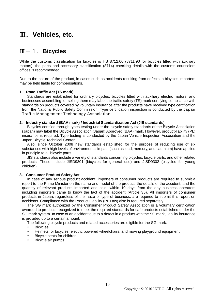# Ⅲ.**Vehicles, etc.**

# Ⅲ-1.**Bicycles**

While the customs classification for bicycles is HS 8712.00 (8711.90 for bicycles fitted with auxiliary motors), the parts and accessory classification (8714) checking details with the customs counselors offices is recommended.

Due to the nature of the product, in cases such as accidents resulting from defects in bicycles importers may be held liable for compensations.

# **1. Road Traffic Act (TS mark)**

Standards are established for ordinary bicycles, bicycles fitted with auxiliary electric motors, and businesses assembling, or selling them may label the traffic safety (TS) mark certifying compliance with standards on products covered by voluntary insurance after the products have received type certification from the National Public Safety Commission. Type certification inspection is conducted by the Japan Traffic Management Technology Association.

# **2. Industry standard (BAA mark) / Industrial Standardization Act (JIS standards)**

Bicycles certified through types testing under the bicycle safety standards of the Bicycle Association (Japan) may label the Bicycle Association (Japan) Approved (BAA) mark. However, product-liability (PL) insurance is required. Type testing is conducted by the Japan Vehicle Inspection Association and the Japan Bicycle Technical Center.

Also, since October 2008 new standards established for the purpose of reducing use of six substances with high levels of environmental impact (such as lead, mercury, and cadmium) have applied in principle to all bicycle parts.

JIS standards also include a variety of standards concerning bicycles, bicycle parts, and other related products. These include JISD9301 (bicycles for general use) and JISD9302 (bicycles for young children).

# **3. Consumer Product Safety Act**

In case of any serious product accident, importers of consumer products are required to submit a report to the Prime Minister on the name and model of the product, the details of the accident, and the quantity of relevant products imported and sold, within 10 days from the day business operators including importers came to know the fact of the accident (Article 35). All importers of consumer products in Japan, regardless of their size or type of business, are required to submit this report on accidents. Compliance with the Product Liability (PL Law) also is required separately.

The SG mark authorized by the Consumer Product Safety Association is a voluntary certification awarded to products recognized to meet the required standards for safe products established under the SG mark system. In case of an accident due to a defect in a product with the SG mark, liability insurance is provided up to a certain amount.

- The following bicycle products and related accessories are eligible for the SG mark:
- Bicycles
- Helmets for bicycles, electric powered wheelchairs, and moving playground equipment
- Bicycle seats for children
- Bicycle air pumps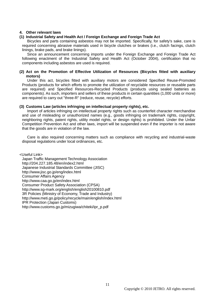# **4. Other relevant laws**

# **(1) Industrial Safety and Health Act / Foreign Exchange and Foreign Trade Act**

Bicycles and parts containing asbestos may not be imported. Specifically, for safety's sake, care is required concerning abrasive materials used in bicycle clutches or brakes (i.e., clutch facings, clutch linings, brake pads, and brake linings).

Since an announcement concerning imports under the Foreign Exchange and Foreign Trade Act following enactment of the Industrial Safety and Health Act (October 2004), certification that no components including asbestos are used is required.

# **(2) Act on the Promotion of Effective Utilization of Resources (Bicycles fitted with auxiliary motors)**

Under this act, bicycles fitted with auxiliary motors are considered Specified Reuse-Promoted Products (products for which efforts to promote the utilization of recyclable resources or reusable parts are required) and Specified Resources-Recycled Products (products using sealed batteries as components). As such, importers and sellers of these products in certain quantities (1,000 units or more) are required to carry out "three-R" (reduce, reuse, recycle) efforts.

# **(3) Customs Law (articles infringing on intellectual property rights), etc.**

Import of articles infringing on intellectual property rights such as counterfeit character merchandise and use of misleading or unauthorized names (e.g., goods infringing on trademark rights, copyright, neighboring rights, patent rights, utility model rights, or design rights) is prohibited. Under the Unfair Competition Prevention Act and other laws, import will be suspended even if the importer is not aware that the goods are in violation of the law.

Care is also required concerning matters such as compliance with recycling and industrial-waste disposal regulations under local ordinances, etc.

<Useful Link>

Japan Traffic Management Technology Association http://204.227.185.48/en/index2.html Japanese Industrial Standards Committee (JISC) <http://www.jisc.go.jp/eng/index.html> Consumer Affairs Agency http://www.caa.go.jp/en/index.html Consumer Product Safety Association (CPSA) http://www.sg-mark.org/english/english20100810.pdf 3R Policies (Ministry of Economy, Trade and Industry) http://www.meti.go.jp/policy/recycle/main/english/index.html IPR Protection (Japan Customs) http://www.customs.go.jp/mizugiwa/chiteki/ipr\_p.pdf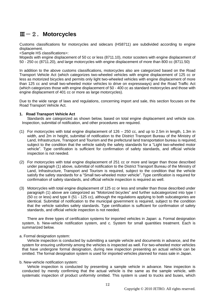# Ⅲ-2.**Motorcycles**

Customs classifications for motorcycles and sidecars (HS8711) are subdivided according to engine displacement.

<Sample HS classifications>:

Mopeds with engine displacement of 50 cc or less (8711.10), motor scooters with engine displacement of 50 - 250 cc (8711.20), and large motorcycles with engine displacement of more than 800 cc (8711.50)

In addition to the above customs classifications, motorcycles also are categorized based on the Road Transport Vehicle Act (which categorizes two-wheeled vehicles with engine displacement of 125 cc or less as motorized bicycles and permits only light two-wheeled vehicles with engine displacement of more than 125 cc and small two-wheeled motor vehicles to drive on expressways) and the Road Traffic Act (which categorizes those with engine displacement of 50 - 400 cc as standard motorcycles and those with engine displacement of 401 cc or more as large motorcycles).

Due to the wide range of laws and regulations, concerning import and sale, this section focuses on the Road Transport Vehicle Act.

# **1. Road Transport Vehicle Act**

Standards are categorized as shown below, based on total engine displacement and vehicle size. Inspection, submittal of notification, and other procedures are required.

- (1) For motorcycles with total engine displacement of 126 250 cc, and up to 2.5m in length, 1.3m in width, and 2m in height, submittal of notification to the District Transport Bureau of the Ministry of Land, Infrastructure, Transport and Tourism and the prefectural land transportation bureau is required, subject to the condition that the vehicle satisfy the safety standards for a "Light two-wheeled motor vehicle". Type certification is sufficient for confirmation of safety standards, and official vehicle inspection is not needed.
- (2) For motorcycles with total engine displacement of 251 cc or more and larger than those described under paragraph (1) above, submittal of notification to the District Transport Bureau of the Ministry of Land, Infrastructure, Transport and Tourism is required, subject to the condition that the vehicle satisfy the safety standards for a "Small two-wheeled motor vehicle". Type certification is required for confirmation of safety standards, and official vehicle inspection is required as well.
- (3) Motorcycles with total engine displacement of 125 cc or less and smaller than those described under paragraph (1) above are categorized as "Motorized bicycles" and further subcategorized into type I (50 cc or less) and type II (51 - 125 cc), although the regulations applying to both subcategories are identical. Submittal of notification to the municipal government is required, subject to the condition that the vehicle satisfies safety standards. Type certification is sufficient for confirmation of safety standards, and official vehicle inspection is not needed.

There are three types of certification systems for imported vehicles in Japan: a. Formal designation system, b. New-vehicle notification system, and c. System for small quantities treatment. Each is summarized below.

# a. Formal designation system:

Vehicle inspection is conducted by submitting a sample vehicle and documents in advance, and the system for ensuring uniformity among the vehicles is inspected as well. For two-wheeled motor vehicles that have undergone formal designation, during new inspection presenting an actual vehicle can be omitted. The formal designation system is used for imported vehicles planned for mass sale in Japan.

#### b. New-vehicle notification system:

Vehicle inspection is conducted by presenting a sample vehicle in advance. New inspection is conducted by merely confirming that the actual vehicle is the same as the sample vehicle, with systematic inspection of product uniformity omitted. This system is used to trucks and buses, which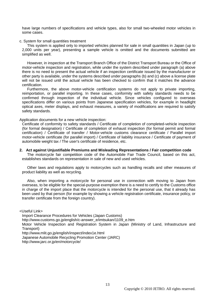have large numbers of specifications and vehicle types, also for small two-wheeled motor vehicles in some cases.

#### c. System for small quantities treatment

This system is applied only to imported vehicles planned for sale in small quantities in Japan (up to 2,000 units per year), presenting a sample vehicle is omitted and the documents submitted are simplified as well.

However, in inspection at the Transport Branch Office of the District Transport Bureau or the Office of motor-vehicle inspection and registration, while under the system described under paragraph (a) above there is no need to present the actual vehicle if an inspection certificate issued by the manufacturer or other party is available, under the systems described under paragraphs (b) and (c) above a license plate will not be issued until the actual vehicle has been checked to confirm that it matches the advance certification.

Furthermore, the above motor-vehicle certification systems do not apply to private importing, reimportation, or parallel importing. In these cases, conformity with safety standards needs to be confirmed through inspection of the individual vehicle. Since vehicles configured to overseas specifications differ on various points from Japanese specification vehicles, for example in headlight optical axes, meter displays, and exhaust measures, a variety of modifications are required to satisfy safety standards.

Application documents for a new vehicle inspection:

Certificate of conformity to safety standards / Certificate of completion of completed-vehicle inspection (for formal designation) / Certificate of completion of exhaust inspection (for formal permit and formal certification) / Certificate of transfer / Motor-vehicle customs clearance certificate / Parallel import motor-vehicle certificate (for parallel import) / Certificate of liability insurance / Certificate of payment of automobile weight tax / The user's certificate of residence, etc.

#### **2. Act against Unjustifiable Premiums and Misleading Representations / Fair competition code**

The motorcycle fair competition code of the Automobile Fair Trade Council, based on this act, establishes standards on representation in sale of new and used vehicles.

Other laws and regulations apply to motorcycles such as handling recalls and other measures of product liability as well as recycling.

Also, when importing a motorcycle for personal use in connection with moving to Japan from overseas, to be eligible for the special-purpose exemption there is a need to certify to the Customs office in charge of the import place that the motorcycle is intended for the personal use, that it already has been used by that person (for example by showing a vehicle registration certificate, insurance policy, or transfer certificate from the foreign country).

<Useful Link>

Import Clearance Procedures for Vehicles (Japan Customs)

http://www.customs.go.jp/english/c-answer\_e/imtsukan/1109\_e.htm

Motor Vehicle Inspection and Registration System in Japan (Ministry of Land, Infrastructure and Transport)

http://www.mlit.go.jp/english/inspect/index1e.html

Japanese Automobile Recycling Promotion Center (JARC)

http://www.jarc.or.jp/en/motorcycle/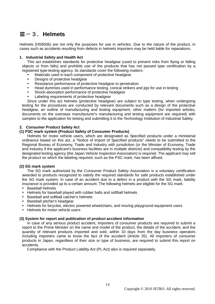# Ⅲ-3.**Helmets**

Helmets (HS6506) are not only the purposes for use in vehicles. Due to the nature of the product, in cases such as accidents resulting from defects in helmets importers may be held liable for reparations.

# **1. Industrial Safety and Health Act**

This act establishes standards for protective headgear (used to prevent risks from flying or falling objects or from falls) and prohibits use of the products that has not passed type certification by a registered type-testing agency. Its standards cover the following matters:

- Materials used in each component of protective headgear
- Designs of protective headgear
- Resistance performance of protective headgear to penetration
- Head dummies used in performance testing, conical strikers and jigs for use in testing
- Shock-absorption performance of protective headgear
- Labeling requirements of protective headgear

Since under this act helmets (protective headgear) are subject to type testing, when undergoing testing for the procedures are conducted by relevant documents such as a design of the protective headgear, an outline of manufacturing and testing equipment, other matters (for imported articles, documents on the overseas manufacturer's manufacturing and testing equipment are required) with samples to the application for testing and submitting it to the Technology Institution of Industrial Safety.

# **2. Consumer Product Safety Act**

# **(1) PSC mark system (Product Safety of Consumer Products)**

Helmets for motor vehicle users, which are designated as Specified products under a ministerial ordinance based on this act, a "Notice of Import of Specified products" needs to be submitted to the Regional Bureau of Economy, Trade and Industry with jurisdiction (or the Minister of Economy, Trade and Industry if the applicant's business facilities are in multiple districts) and compatibility testing by the designated testing agency (the Japan Vehicle Inspection Association) is required. The applicant may sell the product on which the labeling required, such as the PSC mark, has been affixed.

# **(2) SG mark system**

The SG mark authorized by the Consumer Product Safety Association is a voluntary certification awarded to products recognized to satisfy the required standards for safe products established under the SG mark system. In case of an accident due to a defect in a product with the SG mark, liability insurance is provided up to a certain amount. The following helmets are eligible for the SG mark:

- Baseball helmets
- Helmets for baseball played with rubber balls and softball helmets
- Baseball and softball catcher's helmets
- Baseball pitcher's headgear
- Helmets for bicycles, electric powered wheelchairs, and moving playground equipment users
- Helmets for motor vehicle users

# **(3) System for report and publication of product accident information**

In case of any serious product accident, importers of consumer products are required to submit a report to the Prime Minister on the name and model of the product, the details of the accident, and the quantity of relevant products imported and sold, within 10 days from the day business operators including importers came to know the fact of the accident (Article 35). All importers of consumer products in Japan, regardless of their size or type of business, are required to submit this report on accidents.

Compliance with the Product Liability Act (PL Act) also is required separately.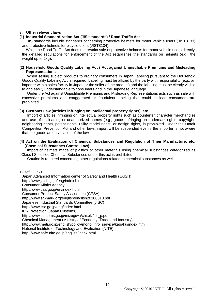# **3. Other relevant laws**

# **(1) Industrial Standardization Act (JIS standards) / Road Traffic Act**

JIS standards include standards concerning protective helmets for motor vehicle users (JIST8133) and protective helmets for bicycle users (JIST8134).

While the Road Traffic Act does not restrict sale of protective helmets for motor vehicle users directly, the detailed regulations for enforcement of the Act establishes the standards on helmets (e.g., the weight up to 2kg).

# **(2) Household Goods Quality Labeling Act / Act against Unjustifiable Premiums and Misleading Representations**

When selling subject products to ordinary consumers in Japan, labeling pursuant to the Household Goods Quality Labeling Act is required. Labeling must be affixed by the party with responsibility (e.g., an importer with a sales facility in Japan or the seller of the product) and the labeling must be clearly visible to and easily understandable to consumers and in the Japanese language.

Under the Act against Unjustifiable Premiums and Misleading Representations acts such as sale with excessive premiums and exaggerated or fraudulent labeling that could mislead consumers are prohibited.

# **(3) Customs Law (articles infringing on intellectual property rights), etc.**

Import of articles infringing on intellectual property rights such as counterfeit character merchandise and use of misleading or unauthorized names (e.g., goods infringing on trademark rights, copyright, neighboring rights, patent rights, utility model rights, or design rights) is prohibited. Under the Unfair Competition Prevention Act and other laws, import will be suspended even if the importer is not aware that the goods are in violation of the law.

# **(4) Act on the Evaluation of Chemical Substances and Regulation of Their Manufacture, etc. (Chemical Substances Control Law)**

Import of helmets made of plastics or other materials using chemical substances categorized as Class I Specified Chemical Substances under this act is prohibited.

Caution is required concerning other regulations related to chemical substances as well.

<Useful Link>

Japan Advanced Information center of Safety and Health (JAISH)

http://www.jaish.gr.jp/eng/index.html

Consumer Affairs Agency

http://www.caa.go.jp/en/index.html

Consumer Product Safety Association (CPSA)

http://www.sg-mark.org/english/english20100810.pdf

Japanese Industrial Standards Committee (JISC)

<http://www.jisc.go.jp/eng/index.html>

IPR Protection (Japan Customs)

http://www.customs.go.jp/mizugiwa/chiteki/ipr\_p.pdf

Chemical Management (Ministry of Economy, Trade and Industry)

http://www.meti.go.jp/english/policy/mono\_info\_service/kagaku/index.html

National Institute of Technology and Evaluation (NITE)

http://www.safe.nite.go.jp/english/index.html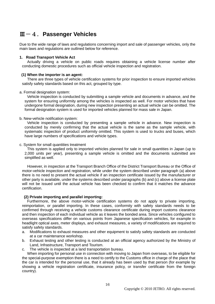# Ⅲ-4.**Passenger Vehicles**

Due to the wide range of laws and regulations concerning import and sale of passenger vehicles, only the main laws and regulations are outlined below for reference.

# **1. Road Transport Vehicle Act**

Actually driving a vehicle on public roads requires obtaining a vehicle license number after conducting domestic procedures such as official vehicle inspection and registration.

# **(1) When the importer is an agent:**

There are three types of vehicle certification systems for prior inspection to ensure imported vehicles satisfy safety standards based on this act, grouped by type.

#### a. Formal designation system:

Vehicle inspection is conducted by submitting a sample vehicle and documents in advance, and the system for ensuring uniformity among the vehicles is inspected as well. For motor vehicles that have undergone formal designation, during new inspection presenting an actual vehicle can be omitted. The formal designation system is used for imported vehicles planned for mass sale in Japan.

#### b. New-vehicle notification system:

Vehicle inspection is conducted by presenting a sample vehicle in advance. New inspection is conducted by merely confirming that the actual vehicle is the same as the sample vehicle, with systematic inspection of product uniformity omitted. This system is used to trucks and buses, which have large numbers of specifications and vehicle types.

#### c. System for small quantities treatment

This system is applied only to imported vehicles planned for sale in small quantities in Japan (up to 2,000 units per year), presenting a sample vehicle is omitted and the documents submitted are simplified as well.

However, in inspection at the Transport Branch Office of the District Transport Bureau or the Office of motor-vehicle inspection and registration, while under the system described under paragraph (a) above there is no need to present the actual vehicle if an inspection certificate issued by the manufacturer or other party is available, under the systems described under paragraphs (b) and (c) above a license plate will not be issued until the actual vehicle has been checked to confirm that it matches the advance certification.

# **(2) Private importing and parallel importing:**

Furthermore, the above motor-vehicle certification systems do not apply to private importing, reimportation, or parallel importing. In these cases, conformity with safety standards needs to be confirmed through receiving a vehicle customs clearance certificate during import customs clearance and then inspection of each individual vehicle as it leaves the bonded area. Since vehicles configured to overseas specifications differ on various points from Japanese specification vehicles, for example in headlight optical axes, meter displays, and exhaust measures, a variety of modifications are required to satisfy safety standards.

- a. Modifications to exhaust measures and other equipment to satisfy safety standards are conducted at a car maintenance workshop.
- b. Exhaust testing and other testing is conducted at an official agency authorized by the Ministry of Land, Infrastructure, Transport and Tourism.
- c. The vehicle is inspected at a land transportation bureau.

When importing for personal use in connection with moving to Japan from overseas, to be eligible for the special-purpose exemption there is a need to certify to the Customs office in charge of the place that the car is intended for the personal use, that it already has been used by that person (for example by showing a vehicle registration certificate, insurance policy, or transfer certificate from the foreign country).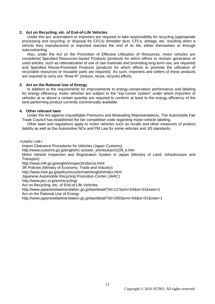### **2. Act on Recycling, etc. of End-of-Life Vehicles**

Under this act, automakers or importers are required to take responsibility for recycling (appropriate processing and recycling, or disposal for CFCs) shredder dust, CFCs, airbags, etc. resulting when a vehicle they manufactured or imported reaches the end of its life, either themselves or through subcontracting.

Also, under the Act on the Promotion of Effective Utilization of Resources, motor vehicles are considered Specified Resources-Saved Products (products for which efforts to restrain generation of used articles, such as rationalization of use of raw materials and promoting long-term use, are required) and Specified Reuse-Promoted Products (products for which efforts to promote the utilization of recyclable resources or reusable parts are required). As such, importers and sellers of these products are required to carry out "three-R" (reduce, reuse, recycle) efforts.

#### **3. Act on the Rational Use of Energy**

In addition to the requirements for improvements to energy-conservation performance and labeling for energy efficiency, motor vehicles are subject to the "top-runner system" under which importers of vehicles at or above a certain quantity are required to conform at least to the energy efficiency of the best-performing product currently commercially available.

#### **4. Other relevant laws**

Under the Act against Unjustifiable Premiums and Misleading Representations, The Automobile Fair Trade Council has established the fair competition code regarding motor-vehicle labeling.

Other laws and regulations apply to motor vehicles such as recalls and other measures of product liability as well as the Automotive NOx and PM Law for some vehicles and JIS standards.

<Useful Link>

Import Clearance Procedures for Vehicles (Japan Customs)

http://www.customs.go.jp/english/c-answer\_e/imtsukan/1109\_e.htm

Motor Vehicle Inspection and Registration System in Japan (Ministry of Land, Infrastructure and Transport)

http://www.mlit.go.jp/english/inspect/index1e.html

3R Policies (Ministry of Economy, Trade and Industry)

http://www.meti.go.jp/policy/recycle/main/english/index.html

Japanese Automobile Recycling Promotion Center (JARC)

http://www.jarc.or.jp/en/recycling/

Act on Recycling, etc. of End-of-Life Vehicles

<http://www.japaneselawtranslation.go.jp/law/detail/?id=127&vm=04&re=01&new=1>

Act on the Rational Use of Energy

http://www.japaneselawtranslation.go.jp/law/detail/?id=1855&vm=04&re=01&new=1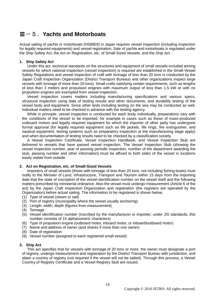# Ⅲ-5.**Yachts and Motorboats**

Actual sailing of yachts or motorboats (HS8903) in Japan requires vessel inspection (including inspection for legally required equipments) and vessel registration. Sale of yachts and motorboats is regulated under the Ship Safety Act, the Act on Registration, etc. of Small-Sized Vessels, and the Ship Act.

# **1. Ship Safety Act**

Under this act, technical standards on the structures and equipment of small vessels included among vessels for which national inspection (vessel inspection) is required are established in the Small-Vessel Safety Regulations and vessel inspection of craft with tonnage of less than 20 tons is conducted by the Japan Craft Inspection Organization (District Transport Bureaus and other organizations inspect large vessels with tonnage of more than 20 tons). Small crafts satisfying certain requirements, such as lengths of less than 3 meters and propulsion engines with maximum output of less than 1.5 kW or with no propulsion engines are exempted from vessel inspection.

Vessel inspection covers matters including manufacturing specifications and various specs, structural inspection using data of testing results and other documents, and durability testing of the vessel body and equipment. Since other tests including testing on the sea may be conducted as well, individual matters need to be checked in advance with the testing agency.

While in principle, vessel inspection is conducted for each body individually, preparations vary with the conditions of the vessel to be imported, for example in cases such as those of mass-produced outboard motors and legally required equipment for which the importer of other party has undergone formal approval (for legally required equipment such as life jackets, life rings, fire extinguisher, and nautical equipment, testing systems such as preparatory inspection at the manufacturing stage apply) and when documentation of testing results need to be checked by a classification society.

A Vessel Inspection Certificate, Vessel Inspection Handbook, and Vessel Inspection Stub are delivered to vessels that have passed vessel inspection. The Vessel Inspection Stub (showing the vessel inspection number, year of passing periodic inspection, number of the department awarding the stub, passing number and other information) must be affixed to both sides of the vessel in locations easily visible from outside.

# **2. Act on Registration, etc. of Small-Sized Vessels**

Importers of small vessels (those with tonnage of less than 20 tons, not including fishing boats) must notify to the Minister of Land, Infrastructure, Transport and Tourism within 15 days from the importing date that the state of inscription of the vessel identification number on the vessel itself and the following matters prescribed by ministerial ordinance. Also the vessel must undergo measurement (Article 6 of the act) by the Japan Craft Inspection Organization and registration (the registers are operated by the Organization) before actual sailing. The information to be registered is shown below.

- (1) Type of vessel (steam or sail)
- (2) Port of registry (municipality where the vessel usually anchoring)
- (3) Length, width, depth (figures from measurement)
- (4) Tonnage
- (5) Vessel identification number (inscribed by the manufacturer or importer; under JIS standards, this number consists of 15 alphanumeric characters)
- (6) Type of propulsion engine (outboard motor, inboard motor, or inboard/outboard motor)
- (7) Name and address of owner (and shares if more than one owner)
- (8) Date of registration
- (9) Vessel number (assigned to each registered small vessel)

# **3. Ship Act**

This act specifies that for vessels with tonnage of 20 tons or more, the owner must designate a port of registry, undergo measurement and registration by the District Transport Bureau with jurisdiction, and attain a country of registry (not required if the vessel will not be sailed). Through this process, a Vessel Country of Registry Certificate and a Vessel Registry Stub are issued.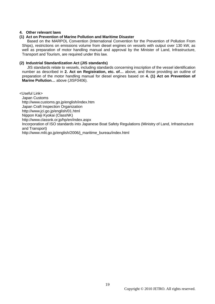# **4. Other relevant laws**

# **(1) Act on Prevention of Marine Pollution and Maritime Disaster**

Based on the MARPOL Convention (International Convention for the Prevention of Pollution From Ships), restrictions on emissions volume from diesel engines on vessels with output over 130 kW, as well as preparation of motor handling manual and approval by the Minister of Land, Infrastructure, Transport and Tourism, are required under this law.

# **(2) Industrial Standardization Act (JIS standards)**

JIS standards relate to vessels, including standards concerning inscription of the vessel identification number as described in **2. Act on Registration, etc. of…** above, and those providing an outline of preparation of the motor handling manual for diesel engines based on **4. (1) Act on Prevention of Marine Pollution…** above (JISF0406).

<Useful Link> Japan Customs http://www.customs.go.jp/english/index.htm Japan Craft Inspection Organization http://www.jci.go.jp/english/01.html Nippon Kaiji Kyokai (ClassNK) http://www.classnk.or.jp/hp/en/index.aspx Incorporation of ISO standards into Japanese Boat Safety Regulations (Ministry of Land, Infrastructure and Transport) http://www.mlit.go.jp/english/2006/j\_maritime\_bureau/index.html

Copyright © 2010 JETRO. All rights reserved.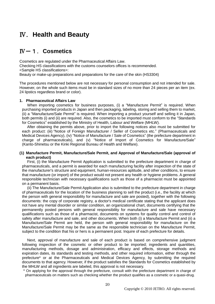# Ⅳ.**Health and Beauty**

# Ⅳ-1.**Cosmetics**

Cosmetics are regulated under the Pharmaceutical Affairs Law.

Checking HS classifications with the customs counselors offices is recommended. <Sample HS classifications>:

Beauty or make-up preparations and preparations for the care of the skin (HS3304)

The procedures mentioned below are not necessary for personal consumption and not intended for sale. However, on the whole such items must be in standard sizes of no more than 24 pieces per an item (ex. 24 lipstics regardless brand or color).

# **1. Pharmaceutical Affairs Law**

When importing cosmetics for business purposes, (i) a "Manufacture Permit" is required. When purchasing imported products in Japan and then packaging, labeling, storing and selling them to market, (ii) a "Manufacture/Sale Permit" is required. When importing a product yourself and selling it in Japan, both permits (i) and (ii) are required. Also, the cosmetics to be imported must conform to the "Standards for Cosmetics" established by the Ministry of Health, Labour and Welfare (MHLW).

After obtaining the permits above, prior to import the following notices also must be submitted for each product: (iii) "Notice of Foreign Manufacturer / Seller of Cosmetics etc." (Pharmaceuticals and Medical Devices Agency), (iv) "Notice of Manufacture / Sale of Cosmetics" (the prefecture department in charge of pharmaceuticals), and (v) "Notice of Import of Cosmetics for Manufacture/Sale" (Kanto-Shinetsu or the Kinki Regional Bureau of Health and Welfare).

#### **(1) Manufacture Permit, Manufacture/Sale Permit, and Approval of Manufacture/Sale (approval of each product)**

First, (i) the Manufacture Permit Application is submitted to the prefecture department in charge of pharmaceuticals, and a permit is awarded for each manufacturing facility after inspection of the state of the manufacturer's structure and equipment, human-resources aptitude, and other conditions, to ensure that manufacture (or import) of the product would not present any health or hygiene problems. A general responsible technician with necessary qualifications such as those of a pharmacist must be appointed on a permanent basis.

(ii) The Manufacture/Sale Permit Application also is submitted to the prefecture department in charge of pharmaceuticals for the location of the business planning to sell the product (i.e., the facility at which the person with general responsibility for manufacture and sale are posted), together with the following documents: the copy of corporate registry, a doctor's medical certificate stating that the applicant does not have any mental disorder or similar condition, an organizational chart, documents certifying that the permanently posted persons with general responsibility for manufacture and sale have necessary qualifications such as those of a pharmacist, documents on systems for quality control and control of safety after manufacture and sale, and other documents. When both (i) a Manufacture Permit and (ii) a Manufacture/Sale Permit are held, the person with general responsibility for manufacture on the Manufacture/Sale Permit may be the same as the responsible technician on the Manufacture Permit, subject to the condition that his or hers is a permanent post. Inquire of each prefecture for details.

Next, approval of manufacture and sale of each product is based on comprehensive judgment following inspection of the cosmetic or other product to be imported; ingredients and quantities, manufacturing methods, dosage and administration, efficacy and effects, storage methods and expiration dates, its standards and testing methods, and other required information, either through the prefecture\* or at the Pharmaceuticals and Medical Devices Agency, by submitting the required documents to that agency. However, if the product satisfies the Standards for Cosmetics established by the MHLW and all ingredients are labeled, this approval is not necessary.

\* On applying for the approval through the prefecture, consult with the prefecture department in charge of pharmaceuticals on matters such as checking whether the product qualifies as a cosmetic or a quasi-drug.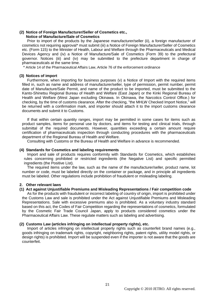# **(2) Notice of Foreign Manufacturer/Seller of Cosmetics etc.,**

### **Notice of Manufacture/Sale of Cosmetics**

Prior to import of the products by the Japanese manufacturer/seller (ii), a foreign manufacturer of cosmetics not requiring approval\* must submit (iii) a Notice of Foreign Manufacturer/Seller of Cosmetics etc. (Form 115) to the Minister of Health, Labour and Welfare through the Pharmaceuticals and Medical Devices Agency and (iv) a Notice of Manufacture/Sale of Cosmetics (Form 39) to the prefectural governor. Notices (iii) and (iv) may be submitted to the prefecture department in charge of pharmaceuticals at the same time.

\* Article 14 of the Pharmaceutical Affairs Law, Article 76 of the enforcement ordinance

#### **(3) Notices of import**

Furthermore, when importing for business purposes (v) a Notice of Import with the required items filled in, such as name and address of manufacturer/seller, type of permission, permit number, permit date of Manufacture/Sale Permit, and name of the product to be imported, must be submitted to the Kanto-Shinetsu Regional Bureau of Health and Welfare (East Japan) or the Kinki Regional Bureau of Health and Welfare (West Japan excluding Okinawa. In Okinawa, the Narcotics Control Office.) for checking, by the time of customs clearance. After the checking, "the MHLW Checked Import Notice," will be returned with a confirmation mark, and importer should attach it to the import customs clearance documents and submit it to Customs.

If that within certain quantity ranges, import may be permitted in some cases for items such as product samples, items for personal use by doctors, and items for testing and clinical trials, through submittal of the required documents. However, quantities exceeding a certain amount require certification of pharmaceuticals inspection through conducting procedures with the pharmaceuticals department of the Regional Bureau of Health and Welfare.

Consulting with Customs or the Bureau of Health and Welfare in advance is recommended.

#### **(4) Standards for Cosmetics and labeling requirements**

Import and sale of products requires conformity with Standards for Cosmetics, which establishes rules concerning prohibited or restricted ingredients (the Negative List) and specific permitted ingredients (the Positive List).

The required items under the law, such as the name of the manufacturer/seller, product name, lot number or code, must be labeled directly on the container or package, and in principle all ingredients must be labeled. Other regulations include prohibition of fraudulent or misleading labeling.

# **2. Other relevant laws**

#### **(1) Act against Unjustifiable Premiums and Misleading Representations / Fair competition code**

As for the products with fraudulent or incorrect labeling of country of origin, import is prohibited under the Customs Law and sale is prohibited under the Act against Unjustifiable Premiums and Misleading Representations. Sale with excessive premiums also is prohibited. As a voluntary industry standard based on this act, the Codes of Fair Competition regarding the representations of cosmetics, formulated by the Cosmetic Fair Trade Council Japan, apply to products considered cosmetics under the Pharmaceutical Affairs Law. These regulate matters such as labeling and advertising.

### **(2) Customs Law (articles infringing on intellectual property rights), etc.**

Import of articles infringing on intellectual property rights such as counterfeit brand names (e.g., goods infringing on trademark rights, copyright, neighboring rights, patent rights, utility model rights, or design rights) is prohibited. Import will be suspended even if the importer is not aware that the goods are counterfeit.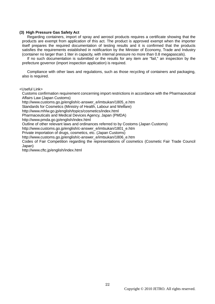### **(3) High Pressure Gas Safety Act**

Regarding containers, import of spray and aerosol products requires a certificate showing that the products are exempt from application of this act. The product is approved exempt when the importer itself prepares the required documentation of testing results and it is confirmed that the products satisfies the requirements established in notificartion by the Minister of Economy, Trade and Industry (container no larger than 1 liter in capacity, with internal pressure no more than 0.8 megapascals).

If no such documentation is submitted or the results for any item are "fail," an inspection by the prefecture governor (import inspection application) is required.

Compliance with other laws and regulations, such as those recycling of containers and packaging, also is required.

#### <Useful Link>

Customs confirmation requirement concerning import restrictions in accordance with the Pharmaceutical Affairs Law (Japan Customs)

http://www.customs.go.jp/english/c-answer\_e/imtsukan/1805\_e.htm

Standards for Cosmetics (Ministry of Health, Labour and Welfare)

http://www.mhlw.go.jp/english/topics/cosmetics/index.html

Pharmaceuticals and Medical Devices Agency, Japan (PMDA)

http://www.pmda.go.jp/english/index.html

Outline of other relevant laws and ordinances referred to by Costoms (Japan Customs)

http://www.customs.go.jp/english/c-answer\_e/imtsukan/1801\_e.htm

Private importation of drugs, cosmetics, etc. (Japan Customs)

http://www.customs.go.jp/english/c-answer\_e/imtsukan/1806\_e.htm

Codes of Fair Competition regarding the representations of cosmetics (Cosmetic Fair Trade Council Japan)

http://www.cftc.jp/english/index.html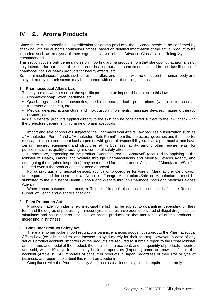# Ⅳ-2.**Aroma Products**

Since there is not specific HS classification for aroma products, the HS code needs to be confirmed by checking with the customs counselors offices, based on detailed information of the actual product to be imported such as analysis of their ingredients. Use of the Advance Classification Ruling System is recommended.

This section covers only general notes on importing aroma products from that standpoint that aroma is not only intended for purposes of relaxation or healing but also sometimes included in the classification of pharmaceuticals or health products for beauty effects, etc.

So the "miscellaneous" goods such as oils, candles, and incense with no effect on the human body and enjoyed merely for their scents may be imported with no particular regulations.

#### **1. Pharmaceutical Affairs Law**

The key point is whether or not the specific product to be imported is subject to this law.

- Cosmetics: soap, lotion, perfumes, etc.
- Quasi-drugs: medicinal cosmetics, medicinal soaps, bath preparations (with effects such as treatment of eczema), etc.
- Medical devices: acupuncture and moxibustion implements, massage devices, magnetic therapy devices, etc.

While in general products applied directly to the skin can be considered subject to the law, check with the prefecture department in charge of pharmaceuticals.

Import and sale of products subject to the Pharmaceutical Affairs Law requires authorization such as a "Manufacture Permit" and a "Manufacture/Sale Permit" from the prefectural governor, and the importer must appoint on a permanent basis a person with general responsibility, such as a pharmacist, and have certain required equipment and structures at its business facility, among other requirements, for purposes such as quality checking and control of safety after sale.

Furthermore, depending on the product "Manufacture/Sale Approval" (acquired by applying to the Minister of Health, Labour and Welfare through Pharmaceuticals and Medical Devices Agency and undergoing the required inspection) may be required for each product. A "Notice of Manufacture/Sale" is required even if the product does not need approval.

For quasi-drugs and medical devices, application procedures for Foreign Manufacturer Certification are required, and for cosmetics a "Notice of Foreign Manufacture/Sale or Manufacturer" must be submitted to the Minister of Health, Labour and Welfare through Pharmaceuticals and Medical Devices Agency.

When import customs clearance, a "Notice of Import" also must be submitted after the Regional Bureau of Health and Welfare"s checking.

# **2. Plant Protection Act**

Products made from plants (ex. medicinal herbs) may be subject to quarantine, depending on their form and the degree of processing. In recent years, cases have been uncovered of illegal drugs such as stimulants and hallucinogens disguised as aroma products, so that monitoring of aroma products is increasing in strictness.

# **3. Consumer Product Safety Act**

There are no particular import regulations on miscellaneous goods not subject to the Pharmaceutical Affairs Law (ex. oils, candles, and incense enjoyed merely for their scents). However, in case of any serious product accident, importers of the products are required to submit a report to the Prime Minister on the name and model of the product, the details of the accident, and the quantity of products imported and sold, within 10 days from the day business operators (importer) came to know the fact of the accident (Article 35). All importers of consumer products in Japan, regardless of their size or type of business, are required to submit this report on accidents.

Compliance with the Product Liability Act (such as civil indemnity) also is required separately.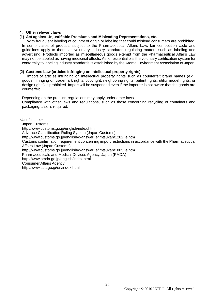# **4. Other relevant laws**

# **(1) Act against Unjustifiable Premiums and Misleading Representations, etc.**

With fraudulent labeling of country of origin or labeling that could mislead consumers are prohibited. In some cases of products subject to the Pharmaceutical Affairs Law, fair competition code and guidelines apply to them, as voluntary industry standards regulating matters such as labeling and advertising. Products imported as miscellaneous goods exempt from the Pharmaceutical Affairs Law may not be labeled as having medicinal effects. As for essential oils the voluntary certification system for conformity to labeling industry standards is established by the Aroma Environment Association of Japan.

# **(2) Customs Law (articles infringing on intellectual property rights)**

Import of articles infringing on intellectual property rights such as counterfeit brand names (e.g., goods infringing on trademark rights, copyright, neighboring rights, patent rights, utility model rights, or design rights) is prohibited. Import will be suspended even if the importer is not aware that the goods are counterfeit.

Depending on the product, regulations may apply under other laws. Compliance with other laws and regulations, such as those concerning recycling of containers and packaging, also is required.

<Useful Link>

Japan Customs http://www.customs.go.jp/english/index.htm Advance Classification Ruling System (Japan Customs) http://www.customs.go.jp/english/c-answer\_e/imtsukan/1202\_e.htm Customs confirmation requirement concerning import restrictions in accordance with the Pharmaceutical Affairs Law (Japan Customs) http://www.customs.go.jp/english/c-answer\_e/imtsukan/1805\_e.htm Pharmaceuticals and Medical Devices Agency, Japan (PMDA) http://www.pmda.go.jp/english/index.html Consumer Affairs Agency http://www.caa.go.jp/en/index.html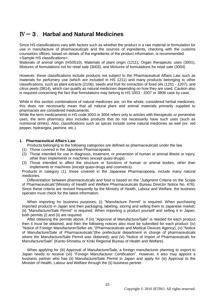# Ⅳ-3.**Harbal and Natural Medicines**

Since HS classifications vary with factors such as whether the product is a raw material or formulation for use in manufacture of pharmaceuticals and the sources of ingredients, checking with the customs counselors offices, based on details of the ingredients of the product information, is recommended. <Sample HS classifications>:

Materials of animal origin (HS0510), Materials of plant origin (1211), Organ therapeutic uses (3001), Mixtures of formulations not for retail sale (3003), and Mixtures of formulations for retail sale (3004)

However, these classifications include products not subject to the Pharmaceutical Affairs Law such as materials for perfumery use (which are included in HS 1211) and many products belonging to other classifications, such as plant extracts (2106), seeds and fruit for extraction of fixed oils (1201 - 1207), and citrus peels (0814), which can qualify as natural medicines depending on how they are used. Caution also is required concerning the fact that formulations may belong to HS 3303 - 3307 or 3808 case by case.

While in this section combinations of natural medicines are, on the whole, considered herbal medicines, this does not necessarily mean that all natural plant and animal materials primarily supplied to pharmacies are considered medicaments.

While the term medicaments in HS code 3003 or 3004 refers only to articles with therapeutic or preventive uses, the term pharmacy also includes products that do not necessarily have such uses (such as nutritional drinks). Also, classifications such as spices include some natural medicines as well (ex. red pepper, hydrangea, jasmine, etc.).

# **1. Pharmaceutical Affairs Law**

Products belonging to the following categories are defined as pharmaceuticals under the law.

- (1) Those covered in the Japanese Pharmacopoeia
- (2) Those intended for use in diagnosis, treatment, or prevention of human or animal illness or injury, other than implements or machines (except quasi-drugs)
- (3) Those intended to affect the structure or functions of human or animal bodies, other than implements or machines (except quasi-drugs and cosmetics)

Products in category (1), those covered in the Japanese Pharmacopoeia, include many natural medicines.

Differentiation between pharmaceuticals and food is based on the "Judgment Criteria on the Scope of Pharmaceuticals"(Ministry of Health and Welfare Pharmaceuticals Bureau Director Notice No. 476). Since these criteria are revised frequently by the Ministry of Health, Labour and Welfare, the business operator must check for the latest information.

When importing for business purposes, (i) "Manufacture Permit" is required. When purchasing imported products in Japan and then packaging, labeling, storing and selling them to Japanese market, (ii) "Manufacture/Sale Permit" is required. When importing a product yourself and selling it in Japan, both permits (i) and (ii) are required.

After obtaining the permits above, if (iii) "Approval of Manufacture/Sale" is needed for each product then it must be obtained, and then the following notices also must be submitted for each product: (iv) "Notice of Foreign Manufacturer/Seller etc."(Pharmaceuticals and Medical Devices Agency), (v) "Notice of Manufacture/Sale of Pharmaceuticals"(the prefectural department in charge of pharmaceuticals where the Manufacture/Sale Permit was obtained), and (vi) "Notice of Import of Pharmaceuticals for Manufacture/Sale" (Kanto-Shinetsu or Kinki Regional Bureau of Health and Welfare).

When applying for (iii) Approval of Manufacture/Sale, a foreign manufacturer planning to export to Japan needs to receive (vii) "Foreign Manufacturer Certification". However, it also may appoint a business partner who has (ii) Manufacture/Sale Permit in Japan and apply for (iii) Approval to the Minister of Health, Labour and Welfare through the (ii) business pertner.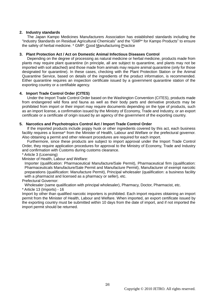# **2. Industry standards**

The Japan Kampo Medicines Manufacturers Association has established standards including the "Industry Standards on Residual Agricultural Chemicals" and the "GMP\* for Kampo Products" to ensure the safety of herbal medicine. \* GMP: Good Manufacturing Practice

# **3. Plant Protection Act / Act on Domestic Animal Infectious Diseases Control**

Depending on the degree of processing as natural medicine or herbal medicine, products made from plants may require plant quarantine (in principle, all are subject to quarantine, and plants may not be imported with soil attached) and those made from animals may require animal quarantine (only for those designated for quarantine). In these cases, checking with the Plant Protection Station or the Animal Quarantine Service, based on details of the ingredients of the product information, is recommended. Either quarantine requires an inspection certificate issued by a government quarantine station of the exporting country or a certifiable agency.

# **4. Import Trade Control Order (CITES)**

Under the Import Trade Control Order based on the Washington Convention (CITES), products made from endangered wild flora and fauna as well as their body parts and derivative products may be prohibited from import or their import may require documents depending on the type of products, such as an import license, a confirmation issued by the Ministry of Economy, Trade and Industry, or an export certificate or a certificate of origin issued by an agency of the government of the exporting country.

# **5. Narcotics and Psychotropics Control Act / Import Trade Control Order**

If the imported products include poppy husk or other ingredients covered by this act, each business facility requires a license\* from the Minister of Health, Labour and Welfare or the prefectural governor. Also obtaining a permit and other relevant procedures are required for each import.

Furthermore, since these products are subject to import approval under the Import Trade Control Order, they require application procedures for approval to the Ministry of Economy, Trade and Industry and confirmation with Customs during customs clearance.

\* Article 3 (Licensing)

Minister of Health, Labour and Welfare:

Importer (qualification: Pharmaceutical Manufacture/Sale Permit), Pharmaceutical firm (qualification: Pharmaceuticals Manufacture/Sale Permit and Manufacture Permit), Manufacturer of exempt narcotic preparations (qualification: Manufacture Permit), Principal wholesaler (qualification: a business facility with a pharmacist and licensed as a pharmacy or seller), etc.

# Prefectural Governor:

Wholesaler (same qualification with principal wholesaler), Pharmacy, Doctor, Pharmacist, etc. \* Article 13 (Imports) - 16

Import by other than qualified narcotic importers is prohibited. Each import requires obtaining an import permit from the Minister of Health, Labour and Welfare. When imported, an export certificate issued by the exporting country must be submitted within 10 days from the date of import, and if not imported the import permit should be returned.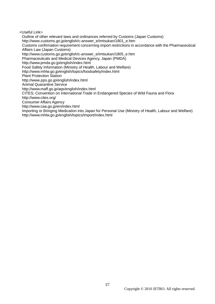<Useful Link>

Outline of other relevant laws and ordinances referred by Customs (Japan Customs) http://www.customs.go.jp/english/c-answer\_e/imtsukan/1801\_e.htm Customs confirmation requirement concerning import restrictions in accordance with the Pharmaceutical Affairs Law (Japan Customs) http://www.customs.go.jp/english/c-answer\_e/imtsukan/1805\_e.htm Pharmaceuticals and Medical Devices Agency, Japan (PMDA) http://www.pmda.go.jp/english/index.html Food Safety Information (Ministry of Health, Labour and Welfare) http://www.mhlw.go.jp/english/topics/foodsafety/index.html Plant Protection Station http://www.pps.go.jp/english/index.html Animal Quarantine Service http://www.maff.go.jp/aqs/english/index.html CITES; Convention on International Trade in Endangered Species of Wild Fauna and Flora http://www.cites.org/ Consumer Affairs Agency http://www.caa.go.jp/en/index.html Importing or Bringing Medication into Japan for Personal Use (Ministry of Health, Labour and Welfare) http://www.mhlw.go.jp/english/topics/import/index.html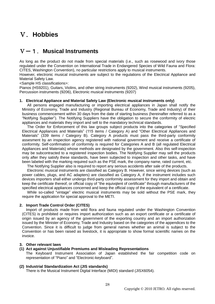# Ⅴ.**Hobbies**

# Ⅴ-1.**Musical Instruments**

As long as the product do not made from special materials (i.e., such as rosewood and ivory those regulated under the Convention on International Trade in Endangered Species of Wild Fauna and Flora: CITES, Washington Convention), no particular restrictions apply to musical instruments.

However, electronic musical instruments are subject to the regulations of the Electrical Appliance and Material Safety Law.

<Sample HS classifications>:

Pianos (HS9201), Guitars, Violins, and other string instruments (9202), Wind musical instruments (9205), Percussion instruments (9206), Electronic musical instruments (9207)

# **1. Electrical Appliance and Material Safety Law (Electronic musical instruments only)**

All persons engaged manufacturing or importing electrical appliances in Japan shall notify the Ministry of Economy, Trade and Industry (Regional Bureau of Economy, Trade and Industry) of their business commencement within 30 days from the date of starting business (hereinafter referred to as a "Notifying Supplier"). The Notifying Suppliers have the obligation to secure the conformity of electric appliances and materials they import and sell to the mandatory technical standards.

The Order for Enforcement of this law groups subject products into the categories of "Specified Electrical Appliances and Materials" (115 items / Category A) and "Other Electrical Appliances and Materials" (339 items / Category B). Category A products must pass the third-party conformity assesment by an inspection agency registered with national government and receive a certificate of conformity. Self-confirmation of conformity is required for Categories A and B (all regulated Electrical Appliances and Materials) whose methods are designated by the government. Also this self-inspection may be subcontracted to a registered inspection bodies. The Notifying Supplier may sell the products only after they satisfy these standards, have been subjected to inspection and other tasks, and have been labeled with the marking required such as the PSE mark, the company name, rated current, etc.

The Notifying Supplier also is required to report any serious accidents after sale of the products.

Electronic musical instruments are classified as Category B. However, since wiring devices (such as power cables, plugs, and AC adapters) are classified as Category A, if the instrument includes such devices importers shall either undergo third-party conformity assessment for they import and obtain and keep the certificate thereof, or official copy of "the equivqlent of certificate" through manufacturers of the specified electrical appliances concerned and keep the official copy of the equivalent of a certificate.

While so-called "vintage" electric musical instruments may be sold without the PSE mark, they require the application for special approval to the METI.

# **2. Import Trade Control Order (CITES)**

Import of products made from wild flora and fauna regulated under the Washington Convention (CITES) is prohibited or requires import authorization such as an export certificate or a certificate of origin issued by an agency of the government of the exporting country and an import authorization issued by the Minister of Economy, Trade and Industry based on the categories of the appendices to the Convention. Since it is difficult to judge from general names whether an animal is subject to the Convention or has been raised as livestock, it is appropriate to show formal scientific names on the invoice.

# **3. Other relevant laws**

# **(1) Act against Unjustifiable Premiums and Misleading Representations**

The Keyboard Instrument Association of Japan established the fair competition code on representation of "Piano" and "Electronic-keyboard".

# **(2) Industrial Standardization Act (JIS standards)**

There is the Musical Instrument Digital Interface (MIDI) standard (JISX6054).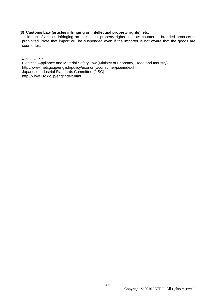# **(3) Customs Law (articles infringing on intellectual property rights), etc.**

Import of articles infringing on intellectual property rights such as counterfeit branded products is prohibited. Note that import will be suspended even if the importer is not aware that the goods are counterfeit.

<Useful Link>

Electrical Appliance and Material Safety Law (Ministry of Economy, Trade and Industry) http://www.meti.go.jp/english/policy/economy/consumer/pse/index.html Japanese Industrial Standards Committee (JISC) http://www.jisc.go.jp/eng/index.html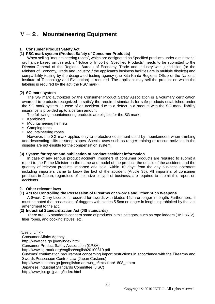# Ⅴ-2.**Mountaineering Equipment**

# **1. Consumer Product Safety Act**

# **(1) PSC mark system (Product Safety of Consumer Products)**

When selling "mountaineering ropes", which are designated as Specified products under a ministerial ordinance based on this act, a "Notice of Import of Specified Products" needs to be submitted to the Director-General of the Regional Bureau of Economy, Trade and Industry with jurisdiction (or the Minister of Economy, Trade and Industry if the applicant's business facilities are in multiple districts) and compatibility testing by the designated testing agency (the Kita-Kanto Regional Office of the National Institute of Technology and Evaluation) is required. The applicant may sell the product on which the labeling is required by the act (the PSC mark).

# **(2) SG mark system**

The SG mark authorized by the Consumer Product Safety Association is a voluntary certification awarded to products recognized to satisfy the required standards for safe products established under the SG mark system. In case of an accident due to a defect in a product with the SG mark, liability insurance is provided up to a certain amount.

The following mountaineering products are eligible for the SG mark:

- Karabiners
- Mountaineering helmets
- Camping tents
- Mountaineering ropes

However, the SG mark applies only to protective equipment used by mountaineers when climbing and descending cliffs or steep slopes. Special uses such as ranger training or rescue activities in the disaster are not eligible for the compensation system.

# **(3) System for report and publication of product accident information**

In case of any serious product accident, importers of consumer products are required to submit a report to the Prime Minister on the name and model of the product, the details of the accident, and the quantity of relevant products imported and sold, within 10 days from the day business operators including importers came to know the fact of the accident (Article 35). All importers of consumer products in Japan, regardless of their size or type of business, are required to submit this report on accidents.

# **2. Other relevant laws**

# **(1) Act for Controlling the Possession of Firearms or Swords and Other Such Weapons**

A Sword Carry License is required for swords with blades 15cm or longer in length. Furthermore, it must be noted that possession of daggers with blades 5.5cm or longer in length is prohibited by the last amendment to the act.

# **(2) Industrial Standardization Act (JIS standards)**

There are JIS standards concern some of products in this category, such as rope ladders (JISF3612), fiber ropes, and cooking stoves, etc.

<Useful Link>

Consumer Affairs Agency

http://www.caa.go.jp/en/index.html

Consumer Product Safety Association (CPSA)

http://www.sg-mark.org/english/english20100810.pdf

Customs" confirmation requirement concerning import restrictions in accordance with the Firearms and Swords Possession Control Law (Japan Customs)

http://www.customs.go.jp/english/c-answer\_e/imtsukan/1808\_e.htm

Japanese Industrial Standards Committee (JISC)

<http://www.jisc.go.jp/eng/index.html>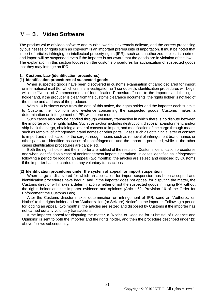# Ⅴ-3.**Video Software**

The product value of video software and musical works is extremely delicate, and the correct processing by businesses of rights such as copyright is an important prerequisite of importation. It must be noted that import of articles infringing on intellectual property rights (IPR), such as unauthorized copies, is a crime, and import will be suspended even if the importer is not aware that the goods are in violation of the law. The explanation in this section focuses on the customs procedures for authorization of suspected goods that they may infringe on IPR.

#### **1. Customs Law (identification procedures)**

#### **(1) Identification procedures of suspected goods**

When suspected goods have been discovered in customs examination of cargo declared for import or international mail (for which criminal investigation isn"t conducted), identification procedures will begin, with the "Notice of Commencement of Identification Procedures" sent to the importer and the rights holder and, if the producer is clear from the customs clearance documents, the rights holder is notified of the name and address of the producer.

Within 10 business days from the date of this notice, the rights holder and the importer each submits to Customs their opinions and evidence concerning the suspected goods, Customs makes a determination on infringement of IPR, within one month.

Such cases also may be handled through voluntary transaction in which there is no dispute between the importer and the rights holder. Such transaction includes destruction, disposal, abandonment, and/or ship-back the cargo, obtaining a letter of consent to import, and modification of the cargo through means such as removal of infringement brand names or other parts. Cases such as obtaining a letter of consent to import and modification of the cargo through means such as removal of infringement brand names or other parts are identified as cases of noninfringement and the import is permitted, while in the other cases identification procedures are cancelled.

Both the rights holder and the importer are notified of the results of Customs identification procedures, and when identified as a case of noninfringement import is permitted. In cases identified as infringement, following a period for lodging an appeal (two months), the articles are seized and disposed by Customs if the importer has not carried out any voluntary transactions.

#### **(2) Identification procedures under the system of appeal for import suspention**

When cargo is discovered for which an application for import suspension has been accepted and identification procedures have begun, and, if the importer does not appeal for disputing the matter, the Customs director will makes a determination whether or not the suspected goods infringing IPR without the rights holder and the importer evidence and opinions (Article 62, Provision 16 of the Order for Enforcement the Customs Law).

After the Customs director makes determination on infringement of IPR, send an "Authorization Notice" to the rights holder and an "Authorization (or Seizure) Notice" to the importer. Following a period for lodging an appeal (two months), the articles are seized and disposed by Customs if the importer has not carried out any voluntary transactions.

If the importer appeal for disputing the matter, a "Notice of Deadline for Submittal of Evidence and Opinions" is sent to both the importer and the rights holder, and then the procedure described under **(1)** above follows subsequently.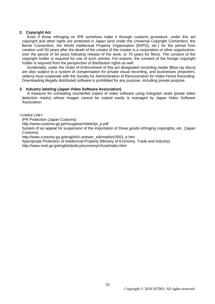# **2. Copyright Act**

Even if those infringing on IPR somehow make it through customs procedure, under this act copyright and other rights are protected in Japan (and under the Universal Copyright Convention, the Berne Convention, the World Intellectual Property Organization [WIPO], etc.) for the period from creation until 50 years after the death of the creator (if the creator is a corporation or other organization, over the period of 50 years following release of the work, or 70 years for films). The consent of the copyright holder is required for use of such articles. For imports, the consent of the foreign copyright holder is required from the perspective of distribution rights as well.

Incidentally, under the Order of Enforcement of this act designated recording media (Blue-ray discs) are also subject to a system of compensation for private visual recording, and businesses (importers, sellers) must cooperate with the Society for Administration of Remuneration for Video Home Recording. Downloading illegally distributed software is prohibited for any purpose, including private purpose.

# **3. Industry labeling (Japan Video Software Association)**

A measure for combating counterfeit copies of video software using hologram seals (pirate video detection marks) whose images cannot be copied easily is managed by Japan Video Software Association.

<Useful Link>

IPR Protection (Japan Customs)

http://www.customs.go.jp/mizugiwa/chiteki/ipr\_p.pdf

System of an appeal for suspension of the importation of those goods infringing copyrights, etc. (Japan Customs)

http://www.customs.go.jp/english/c-answer\_e/kinseihin/2003\_e.htm

Appropriate Protection of Intellectual Property (Ministry of Economy, Trade and Industry)

http://www.meti.go.jp/english/policy/economy/chizai/index.html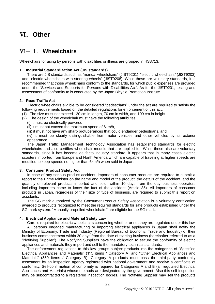# Ⅵ.**Other**

# Ⅵ-1.**Wheelchairs**

Wheelchairs for using by persons with disabilities or illness are grouped in HS8713.

# **1. Industrial Standardization Act (JIS standards)**

There are JIS standards such as "manual wheelchairs" (JIST9201), "electric wheelchairs" (JIST9203), and "electric wheelchairs with steering wheels" (JIST9208). While these are voluntary standards, it is recommended that those wheelchairs conform to the standards, for which public expenses are provided under the "Services and Supports for Persons with Disabilities Act". As for the JIST9201, testing and assessment of conformity to is conducted by the Japan Bicycle Promotion Institute.

# **2. Road Traffic Act**

Electric wheelchairs eligible to be considered "pedestrians" under the act are required to satisfy the following requirements based on the detailed regulations for enforcement of this act.

- (1) The size must not exceed 120 cm in length, 70 cm in width, and 109 cm in height.
- (2) The design of the wheelchair must have the following attributes:
	- (i) it must be electrically powered,
	- (ii) it must not exceed the maximum speed of 6km/h,
	- (iii) it must not have any sharp protuberances that could endanger pedestrians, and

(iv) it must be clearly distinguishable from motor vehicles and other vehicles by its exterior appearance.

The Japan Traffic Management Technology Association has established standards for electric wheelchairs and also certifies wheelchair models that are applied for. While these also are voluntary standards, since it has become de facto industry standard, it appears that in many cases electric scooters imported from Europe and North America which are capable of traveling at higher speeds are modified to keep speeds no higher than 6km/h when sold in Japan.

# **3. Consumer Product Safety Act**

In case of any serious product accident, importers of consumer products are required to submit a report to the Prime Minister on the name and model of the product, the details of the accident, and the quantity of relevant products imported and sold, within 10 days from the day business operators including importers came to know the fact of the accident (Article 35). All importers of consumer products in Japan, regardless of their size or type of business, are required to submit this report on accidents.

The SG mark authorized by the Consumer Product Safety Association is a voluntary certification awarded to products recognized to meet the required standards for safe products established under the SG mark system. "Manually propelled wheelchairs" are eligible for the SG mark.

# **4. Electrical Appliance and Material Safety Law**

Care is required for electric wheelchairs concerning whether or not they are regulated under this law. All persons engaged manufacturing or importing electrical appliances in Japan shall notify the Ministry of Economy, Trade and Industry (Regional Bureau of Economy, Trade and Industry) of their business commencement within 30 days from the date of starting business (hereinafter referred to as a "Notifying Supplier"). The Notifying Suppliers have the obligation to secure the conformity of electric appliances and materials they import and sell to the mandatory technical standards.

The enforcement regulations to this law groups subject products into the categories of "Specified Electrical Appliances and Materials" (115 items / Category A) and "Other Electrical Appliances and Materials" (339 items / Category B). Category A products must pass the third-party conformity assesment by an inspection agency registered with national government and receive a certificate of conformity. Self-confirmation of conformity is required for Categories A and B (all regulated Electrical Appliances and Materials) whose methods are designated by the government. Also this self-inspection may be subcontracted to a registered inspection bodies. The Notifying Supplier may sell the products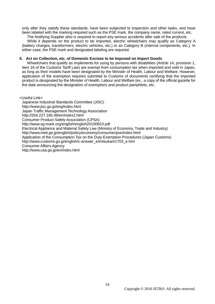only after they satisfy these standards, have been subjected to inspection and other tasks, and have been labeled with the marking required such as the PSE mark, the company name, rated current, etc.

The Notifying Supplier also is required to report any serious accidents after sale of the products. While it depends on the product to be imported, electric wheelchairs may qualify as Category A (battery charges, transformers, electric vehicles, etc.) or as Category B (internal components, etc.). In either case, the PSE mark and designated labeling are required.

#### **5. Act on Collection, etc. of Domestic Excises to be Imposed on Import Goods**

Wheelchairs that qualify as implements for using by persons with disabilities (Article 14, provision 1, item 16 of the Customs Tariff Law) are exempt from consumption tax when imported and sold in Japan, as long as their models have been designated by the Minister of Health, Labour and Welfare. However, application of the exemption requires submittal to Customs of documents certifying that the imported product is designated by the Minister of Health, Labour and Welfare (ex., a copy of the official gazette for the date announcing the designation of exemption) and product pamphlets, etc.

<Useful Link>

Japanese Industrial Standards Committee (JISC) <http://www.jisc.go.jp/eng/index.html> Japan Traffic Management Technology Association http://204.227.185.48/en/index2.html Consumer Product Safety Association (CPSA) http://www.sg-mark.org/english/english20100810.pdf Electrical Appliance and Material Safety Law (Ministry of Economy, Trade and Industry) http://www.meti.go.jp/english/policy/economy/consumer/pse/index.html Application of the Consumption Tax on the Duty-Exemption Procedures (Japan Customs) http://www.customs.go.jp/english/c-answer\_e/imtsukan/1703\_e.htm Consumer Affairs Agency http://www.caa.go.jp/en/index.html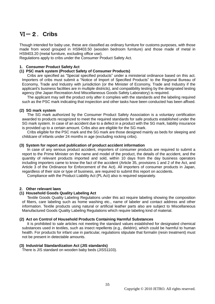# Ⅵ-2.**Cribs**

Though intended for baby use, these are classified as ordinary furniture for customs purposes, with those made from wood grouped in HS9403.50 (wooden bedroom furniture) and those made of metal in HS9403.20 (metal furniture, excluding office use).

Regulations apply to cribs under the Consumer Product Safety Act.

# **1. Consumer Product Safety Act**

# **(1) PSC mark system (Product Safety of Consumer Products)**

Cribs are specified as "Special specified products" under a ministerial ordinance based on this act. Importers of cribs must submit a "Notice of Import of Specified Products" to the Regional Bureau of Economy, Trade and Industry with jurisdiction (or the Minister of Economy, Trade and Industry if the applicant's business facilities are in multiple districts), and compatibility testing by the designated testing agency (the Japan Recreation And Miscellaneous Goods Safety Laboratory) is required.

The applicant may sell the product only after it complies with the standards and the labeling required such as the PSC mark indicating that inspection and other tasks have been conducted has been affixed.

# **(2) SG mark system**

The SG mark authorized by the Consumer Product Safety Association is a voluntary certification awarded to products recognized to meet the required standards for safe products established under the SG mark system. In case of an accident due to a defect in a product with the SG mark, liability insurance is provided up to a certain amount. Cribs also are eligible for the SG mark.

Cribs eligible for the PSC mark and the SG mark are those designed mainly as beds for sleeping and childcare of infants under 24 months in age (excluding rocking cribs).

# **(3) System for report and publication of product accident information**

In case of any serious product accident, importers of consumer products are required to submit a report to the Prime Minister on the name and model of the product, the details of the accident, and the quantity of relevant products imported and sold, within 10 days from the day business operators including importers came to know the fact of the accident (Article 35, provisions 1 and 2 of the Act, and Article 3 of the Ordinance for Enforcement of the Act). All importers of consumer products in Japan, regardless of their size or type of business, are required to submit this report on accidents.

Compliance with the Product Liability Act (PL Act) also is required separately.

# **2. Other relevant laws**

# **(1) Household Goods Quality Labeling Act**

Textile Goods Quality Labeling Regulations under this act require labeling showing the composition of fibers, care labeling such as home washing etc., name of labeler and contact address and other information. Textile products using natural or artificial leather parts also are subject to Miscellaneous Manufactured Goods Quality Labeling Regulations which require labeling kind of material.

# **(2) Act on Control of Household Products Containing Harmful Substances**

It is prohibited to sale articles not meeting the standard values established for designated chemical substances used in textiles, such as insect repellents (e.g., dieldrin), which could be harmful to human health. For products for infant use in particular, regulations stipulate that formalin (resin treatment) must not be present in detectable amounts.

# **(3) Industrial Standardization Act (JIS standards)**

There is JIS standard on wooden baby beds (JISS1103).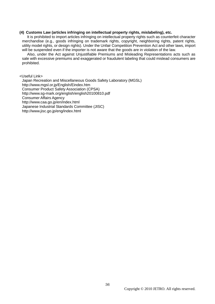#### **(4) Customs Law (articles infringing on intellectual property rights, mislabeling), etc.**

It is prohibited to import articles infringing on intellectual property rights such as counterfeit character merchandise (e.g., goods infringing on trademark rights, copyright, neighboring rights, patent rights, utility model rights, or design rights). Under the Unfair Competition Prevention Act and other laws, import will be suspended even if the importer is not aware that the goods are in violation of the law.

Also, under the Act against Unjustifiable Premiums and Misleading Representations acts such as sale with excessive premiums and exaggerated or fraudulent labeling that could mislead consumers are prohibited.

<Useful Link>

Japan Recreation and Miscellaneous Goods Safety Laboratory (MGSL) http://www.mgsl.or.jp/English/Eindex.htm Consumer Product Safety Association (CPSA) http://www.sg-mark.org/english/english20100810.pdf Consumer Affairs Agency http://www.caa.go.jp/en/index.html Japanese Industrial Standards Committee (JISC) <http://www.jisc.go.jp/eng/index.html>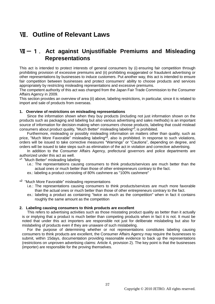# Ⅶ.**Outline of Relevant Laws**

# **WI-1. Act against Unjustifiable Premiums and Misleading Representations**

This act is intended to protect interests of general consumers by (i) ensuring fair competition through prohibiting provision of excessive premiums and (ii) prohibiting exaggerated or fraudulent advertising or other representations by businesses to induce customers. Put another way, this act is intended to ensure fair competition between businesses and protect consumers' ability to choose products and services appropriately by restricting misleading representations and excessive premiums.

The competent authority of this act was changed from the Japan Fair Trade Commission to the Consumer Affairs Agency in 2009.

This section provides an overview of area (ii) above, labeling restrictions, in particular, since it is related to import and sale of products from overseas.

# **1. Overview of restrictions on misleading representations**

Since the information shown when they buy products (including not just information shown on the products such as packaging and labeling but also various advertising and sales methods) is an important source of information for decision-making when consumers choose products, labeling that could mislead consumers about product quality, "Much Better" misleading labeling\*, is prohibited.

Furthermore, misleading or possibly misleading information on matters other than quality, such as price, "Much More Favorable" misleading labeling<sup>\*2</sup>, also is prohibited. In response to such violations, orders will be issued to take corrective measures "Warnings" or "Cautions", depending on degree, and orders will be issued to take steps such as elimination of the act in violation and corrective advertising.

In addition to the Consumer Affairs Agency, prefectural governors and police departments are authorized under this act as well.

\*<sup>1</sup> "Much Better" misleading labeling

- i.e.: The representations causing consumers to think products/services are much better than the actual ones or much better than those of other entrepreneurs contrary to the fact.
- ex.: labeling a product consisting of 80% cashmere as "100% cashmere"
- \*<sup>2</sup> "Much More Favorable" misleading representations
	- i.e.: The representations causing consumers to think products/services are much more favorable than the actual ones or much better than those of other entrepreneurs contrary to the fact.
	- ex.: labeling a product as containing "twice as much as the competition" when in fact it contains roughly the same amount as the competition

# **2. Labeling causing consumers to think products are excellent**

This refers to advertising activities such as those misstating product quality as better than it actually is or implying that a product is much better than competing products when in fact it is not. It must be noted that under this act importers are responsible not just for deliberate mislabeling but also for mislabeling of products even if they are unaware of such mislabeling.

For the purpose of determining whether or not representations constitutes labeling causing consumers to think products are excellent, the Consumer Affairs Agency may require the businesses to submit, within 15days, documentation providing reasonable evidence to back up the representations (restrictions on unproven advertising claims: Article 4, provision 2). The key point is that the businesses (importer) are responsible for the proving themselves.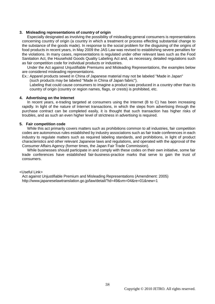# **3. Misleading representations of country of origin**

Especially designated as involving the possibility of misleading general consumers is representations concerning country of origin (a country in which a treatment or process effecting substantial change to the substance of the goods made). In response to the social problem for the disguising of the origins of food products in recent years, in May 2009 the JAS Law was revised to establishing severe penalties for the violations. In many cases, representations is regulated under other relevant laws such as the Food Sanitation Act, the Household Goods Quality Labeling Act and, as necessary, detailed regulations such as fair competition code for individual products or industries.

Under the Act against Unjustifiable Premiums and Misleading Representations, the examples below are considered misleading representations.

Ex.: Apparel products sewed in China of Japanese material may not be labeled "Made in Japan" (such products may be labeled "Made in China of Japan fabric").

Labeling that could cause consumers to imagine a product was produced in a country other than its country of origin (country or region names, flags, or crests) is prohibited, etc.

#### **4. Advertising on the Internet**

In recent years, e-trading targeted at consumers using the Internet (B to C) has been increasing rapidly. In light of the nature of Internet transactions, in which the steps from advertising through the purchase contract can be completed easily, it is thought that such transaction has higher risks of troubles, and as such an even higher level of strictness in advertising is required.

#### **5. Fair competition code**

While this act primarily covers matters such as prohibitions common to all industries, fair competition codes are autonomous rules established by industry associations such as fair trade conferences in each industry to regulate matters such as required labeling standards, and prohibitions, in light of product characteristics and other relevant Japanese laws and regulations, and operated with the approval of the Consumer Affairs Agency (former times, the Japan Fair Trade Commission).

While businesses should participate in and comply with these codes on their own initiative, some fair trade conferences have established fair-business-practice marks that serve to gain the trust of consumers.

#### <Useful Link>

Act against Unjustifiable Premium and Misleading Representations (Amendment: 2005) http://www.japaneselawtranslation.go.jp/law/detail/?id=49&vm=04&re=01&new=1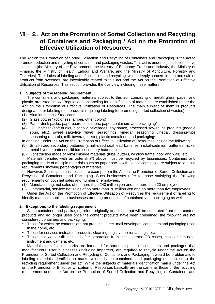# Ⅶ-2.**Act on the Promotion of Sorted Collection and Recycling of Containers and Packaging / Act on the Promotion of Effective Utilization of Resources**

The Act on the Promotion of Sorted Collection and Recycling of Containers and Packaging is the act to promote reduction and recycling of container and packaging wastes. This act is under cojurisdiction of five ministries (the Ministry of the Environment, the Ministry of Economy, Trade and Industry, the Ministry of Finance, the Ministry of Health, Labour and Welfare, and the Ministry of Agriculture, Forestry and Fisheries). The duties of labeling and of collection and recycling, which deeply concern import and sale of products from overseas, are inextricably related to this act and the Act on the Promotion of Effective Utilization of Resources. This section provides the overview including these matters.

# **1. Subjects of the labeling requirement**

The containers and packaging materials subject to this act, consisting of metal, glass, paper, and plastic, are listed below. Regulations on labeling for identification of materials are established under the Act on the Promotion of Effective Utilization of Resources. The main subject of them is products designated for labeling (i.e., products requiring labeling for promoting sorted collection of wastes).

- (1) Aluminum cans, Steel cans
- (2) Glass bottles\* (colorless, amber, other colors)
- (3) Paper drink packs, paperboard containers, paper containers and packaging\*
- (4) PET bottles\* (soft drinks, alcoholic beverages, soy sauce, processed soy-sauce products (noodle soup. etc.), sweet sake-like (*mirin*) seasonings, vinegar, seasoning vinegar, dressing-type seasoning (non-oil), milk beverage, etc.), plastic containers and packaging\*
- In addition, under the Act on the Promotion of Effective Utilization of Resources include the following:
- (5) Small-sized secondary batteries (small-sized seal lead batteries, nickel-cadmium batteries, nickel metal-hydride batteries, lithium secondary batteries)
- (6) Construction made of Vinyl chloride materials (tube, gutters, window frame, floor and wall), etc.

Materials denoted with an asterisk (\*) above must be recycled by businesses. Containers and packaging made of multiple materials such as paper packs with plastic caps also are subject to labeling requirements showing percentages of materials.

However, Small-scale businesses are exempt from the Act on the Promotion of Sorted Collection and Recycling of Containers and Packaging. Such businesses refer to those satisfying the following requirements on both net sales and number of employees.

- (1) Manufacturing: net sales of no more than 240 million yen and no more than 20 employees
- (2) Commercial, service: net sales of no more than 70 million yen and no more than five employees Under the Act on the Promotion of Effective Utilization of Resources the requirement of labeling to

identify materials applies to businesses ordering production of containers and packaging as well.

# **2. Exceptions to the labeling requirement**

Since containers and packaging refers originally to articles that will be separated from their content products and no longer used once the content products have been consumed, the following are not considered containers and packaging.

- Those for which the contents are not products: direct-mail envelopes, containers and packaging used in the home, etc.
- Those for services instead of products: cleaning bags, video rental bags, etc.
- Those that would still be used after separation from the contents: CD cases, cases for musical instrument and camera, etc.

Materials identification marks are intended for sorted disposal of containers and packages that manufacturers, user businesses (including importers) are required to recycle under the Act on the Promotion of Sorted Collection and Recycling of Containers and Packaging. It would be problematic to labeling materials identification marks voluntarily on containers and packaging not subject to the recycling requirement under the act. While the subjects of materials identification marks under the Act on the Promotion of Effective Utilization of Resources basically are the same as those of the recycling requirement under the Act on the Promotion of Sorted Collection and Recycling of Containers and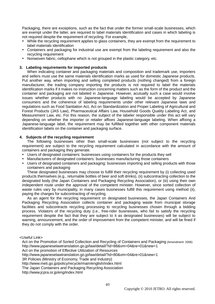Packaging, there are exceptions, such as the fact that under the former small-scale businesses, which are exempt under the latter, are required to label materials identification and cases in which labeling is not required despite the requirement of recycling. For example,

- While the recycling requirement applies to glass containers, they are exempt from the requirement to label materials identification
- Containers and packaging for industrial use are exempt from the labeling requirement and also the recycling requirement
- Nonwoven fabric, cellophane which is not grouped in the plastic category, etc.

# **3. Labeling requirements for imported products**

When indicating container and packaging materials and composition and trademark use, importers and sellers must use the same materials identification marks as used for domestic Japanese products. Put another way, when importing and selling completed products (nothing changed) from a foreign manufacturer, the trading company importing the products is not required to label the materials identification marks if it makes no instruction concerning matters such as the form of the product and the container and packaging are not labeled in Japanese. However, acutually such a case would involve issues whether products with no Japanese-language labeling would be accepted by Japanese consumers and the coherence of labeling requirements under other relevant Japanese laws and regulations such as Food Sanitation Act, Act on Standardization and Proper Labeling of Agricultural and Forest Products (JAS Law), Pharmaceutical Affairs Law, Household Goods Quality Labeling Act, and Measurement Law, etc. For this reason, the subject of the labeler responsible under this act will vary depending on whether the importer or retailer affixes Japanese-language labeling. When affixing a Japanese-language label, the requirement may be fulfilled together with other component materials identification labels on the container and packaging surface.

# **4. Subjects of the recycling requirement**

The following businesses other than small-scale businesses (not subject to the recycling requirement) are subject to the recycling requirement calculated in accordance with the amount of containers and packaging they generate.

- Users of designated containers: businesses using containers for the products they sell
- Manufacturers of designated containers: businesses manufacturing those containers
- Users of designated containers and packaging: businesses importing and selling products with those containers and packaging

These designated businesses may choose to fulfill their recycling requirement by (i) collecting used products themselves (e.g., returnable bottles of beer and soft drinks), (ii) subcontracting collection to the designated body (the Japan Containers and Packaging Recycling Association), or (iii) using their own independent route under the approval of the competent minister. However, since sorted collection of waste rules vary by municipality, in many cases businesses fulfill this requirement using method (ii), paying the charges for subcontracting of recycling.

As an agent for the recycling requirement on designated businesses, the Japan Containers And Packaging Recycling Association collects container and packaging waste from municipal storage facilities and subcontracts recycling processing to recycling businesses chosen through a bidding process. Violators of the recycling duty (i.e., free-rider businesses, who fail to satisfy the recycling requirement despite the fact that they are subject to it as designated businesses) will be subject to warning, announcement, and the order of improvement from the competent minister, and will be fined if they do not comply with the order.

<Useful Link>

Act on the Promotion of Sorted Collection and Recycling of Containers and Packaging (Amendment: 2006) http://www.japaneselawtranslation.go.jp/law/detail/?id=88&vm=04&re=01&new=1 Act on the promotion of Effective Utilization of Resources

http://www.japaneselawtranslation.go.jp/law/detail/?id=80&vm=04&re=01&new=1

3R Policies (Ministry of Economy, Trade and Industry)

http://www.meti.go.jp/policy/recycle/main/english/index.html

The Japan Containers and Packaging Recycling Association

http://www.jcpra.or.jp/eng/index.html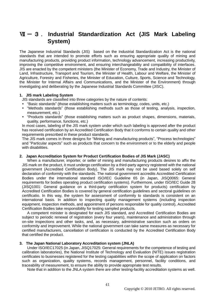# Ⅶ -3. **Industrial Standardization Act (JIS Mark Labeling System)**

The Japanese Industrial Standards (JIS) based on the Industrial Standardization Act is the national standards that are intended to promote efforts such as ensuring appropriate quality of mining and manufacturing products, providing product information, technology advancement, increasing productivity, improving the competitive environment, and ensuring interchangeability and compatibility of interfaces. JIS are enacted by the competent ministers (the Minister of Economy, Trade and Industry, the Minister of Land, Infrastructure, Transport and Tourism, the Minister of Health, Labour and Welfare, the Minister of Agriculture, Forestry and Fisheries, the Minister of Education, Culture, Sports, Science and Technology, the Minister for Internal Affairs and Communications, and the Minister of the Environment) through investigating and deliberating by the Japanese Industrial Standards Committee (JISC).

# **1. JIS mark Labeling System**

- JIS standards are classified into three categories by the nature of contents:
- "Basic standards" (those establishing matters such as terminology, codes, units, etc.)
- "Methods standards" (those establishing methods such as those of testing, analysis, inspection, measurement, etc.)
- "Products standards" (those establishing matters such as product shapes, dimensions, materials, quality, performance, functions, etc.)

In most cases, labeling of the JIS mark system under which such labeling is approved after the product has received certification by an Accredited Certification Body that it conforms to certain quality and other requirements prescribed in these product standards.

The JIS mark comes in three designs for "Mining and manufacturing products", "Process technologies" and "Particular aspects" such as products that concern to the environment or to the elderly and people with disabilities.

# **2. Japan Accreditation System for Product Certification Bodies of JIS Mark (JASC)**

When a manufacturer, importer, or seller of mining and manufacturing products desires to affix the JIS mark on the product, it must undergo certification by a third-party agency registered with the national government (Accredited Certification Body). The JIS mark may not be used based solely on self declaration of conformity with the standards. The national government accredits Accredited Certification Bodies under the international standard ISO/IEC Guideline 65 (in Japan, JISQ0065: General requirements for bodies operating product certification systems). Furthermore, under ISO/IEC Guide 28 (JISQ1001: General guidance on a third-party certification system for products) certification by Accredited Certification Bodies is covered by general certification guidelines and sectoral guidelines on certificatio. In this way, the system for assessment of conformity to standards is consistent on an international basis. In addition to inspecting quality management systems (including inspection equipment, inspection methods, and appointment of persons responsible for quality control), Accredited Certification Bodies take responsibility for testing sampled products.

A competent minister is designated for each JIS standard, and Accredited Certification Bodies are subject to periodic renewal of registration (every four years), maintenance and administration through on-site inspections and other tasks, and, as necessary, administrative sanction such as orders on conformity and improvement. While the national government can take same measures as necessary for certified manufacturers, cancellation of certification is conducted by the Accredited Certification Body that certified the product.

# **3. The Japan National Laboratory Accreditation system (JNLA)**

Under ISO/IEC17025 (in Japan, JISQ17025: General requirements for the competence of testing and calibration laboratories), the National Institute of Technology and Evaluation (NITE) issues registration certificates to businesses registered for the testing capabilities within the scope of application on factors such as organization, quality systems, records management, personnel, facility conditions, and traceability of measurement, to ensure the ability to provide appropriate test results.

Note that in addition to the JNLA system there are other testing-facility accreditation systems as well.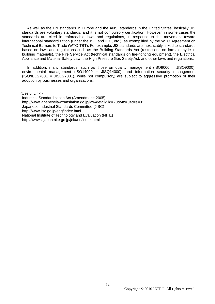As well as the EN standards in Europe and the ANSI standards in the United States, basically JIS standards are voluntary standards, and it is not compulsory certification. However, in some cases the standards are cited in enforceable laws and regulations, in response to the movement toward international standardization (under the ISO and IEC, etc.), as exemplified by the WTO Agreement on Technical Barriers to Trade (WTO-TBT). For example, JIS standards are inextricably linked to standards based on laws and regulations such as the Building Standards Act (restrictions on formaldehyde in building materials), the Fire Service Act (technical standards on fire-fighting equipment), the Electrical Appliance and Material Safety Law, the High Pressure Gas Safety Act, and other laws and regulations.

In addition, many standards, such as those on quality management ( $ISO9000 = JISO9000$ ), environmental management (ISO14000 = JISQ14000), and information security management (ISO/IEC27001 = JISQ27001), while not compulsory, are subject to aggressive promotion of their adoption by businesses and organizations.

<Useful Link>

Industrial Standardization Act (Amendment: 2005) http://www.japaneselawtranslation.go.jp/law/detail/?id=20&vm=04&re=01 Japanese Industrial Standards Committee (JISC) <http://www.jisc.go.jp/eng/index.html> National Institute of Technology and Evaluation (NITE) http://www.iajapan.nite.go.jp/jnla/en/index.html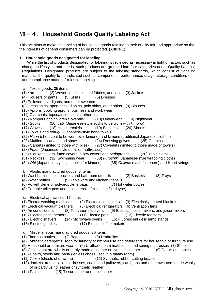# Ⅶ-4.**Household Goods Quality Labeling Act**

This act aims to make the labeling of household goods relating to their quality fair and appropriate so that the interests of general consumers can be protected. (Article 1)

# **1. Household goods designated for labeling**

While the list of products designated for labeling is reviewed as necessary in light of factors such as change in lifestyles and needs, such products are grouped into four categories under Quality Labeling Regulations. Designated products are subject to the labeling standards, which consist of "labeling matters," the quality to be indicated such as components, performance, usage, storage condition, etc., and "compliance matters," rules for labeling.

- a. Textile goods: 35 items (1) Yarn (2) Woven fabrics, knitted fabrics, and lace (3) Jackets (4) Trousers or pants (5) Skirts (6) Dresses (7) Pullovers, cardigans, and other sweaters (8) Dress shirts, open-necked shirts, polo shirts, other shirts (9) Blouses (10) Aprons, cooking aprons, business and work wear (11) Overcoats, topcoats, raincoats, other coats (12) Rompers and children"s overalls (13) Underwear (14) Nightwear (15) Socks (16) *Tabi* (Japanese-style socks to be worn with *kimono*) (18) Handkerchiefs (19) Blankets (20) Sheets (21) Towels and *tenugui* (Japanese-style hand towels) (22) *Haori* (short coat to be worn over kimono) and kimono (traditional Japanese clothes) (23) Mufflers, scarves, and shawls (24) Dressing gowns (25) Curtains (26) Carpets (limited to those with piles) (27) Coverlets (limited to those made of towels) (28) *Futon* (Japanese-style quilts or mattresses) (29) Blanket covers, futon covers, pillow covers and bedspreads (30) Table cloths (31) Neckties (32) Swimming wear (33) *Furoshiki* (Japanese-style wrapping cloths) (34) *Obi* (Japanese-style sash belts for kimono) (35) *Obijime* (sash fasteners) and Haori strings b. Plastic manufactured goods: 8 items (1) Washbasins, tubs, buckets and bathroom utensils (2) Baskets (3) Trays (4) Water bottles (5) Tableware and kitchen utensils (6) Polyethylene or polypropylene bags (7) Hot water bottles (8) Portable toilet pots and toilet utensils (excluding fixed type) c. Electrical appliances: 17 items (1) Electric washing machines (2) Electric rice cookers (3) Electrically heated blankets (4) Electrical vacuum cleaners (5) Electrical refrigerators (6) Ventilation fans (7) Air conditioners (8) Television receivers (9) Electric juicers, mixers, and juicer-mixers (10) Electric panel heaters (11) Electric pots (12) Electric roasters<br>(13) Electric shavers (14) Microwave ovens (15) Fluorescent desk lamp sta (14) Microwave ovens (15) Fluorescent desk lamp stands (16) Electric griddles (17) Electric coffee makers d. Miscellaneous manufactured goods: 30 items (1) Thermos bottles (2) Bags (3) Umbrellas (4) Synthetic detergents, soap for laundry or kitchen use and detergents for household or furniture use (5) Household or furniture wax (6) Urethane foam mattresses and spring mattresses (7) Shoes (8) Gloves that are wholly or partly made of leather or synthetic leather (9) Desks and tables (10) Chairs, stools and *zaisu* (legless chairs used in a *tatami* room) (11) *Tansu* (chests of drawers) (12) Synthetic rubber cutting boards (13) Jackets, trousers, skirts, dresses, coats, and pullovers, cardigans and other sweaters made wholly
	- of or partly using leather or synthetic leather
	- (14) Paints (15) Tissue paper and toilet paper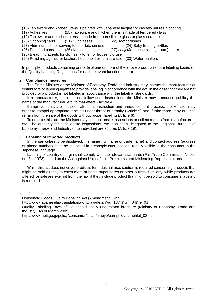(16) Tableware and kitchen utensils painted with Japanese lacquer or cashew nut resin coating

(17) Adhesives (18) Tableware and kitchen utensils made of tempered glass

(19) Tableware and kitchen utensils made from borosilicate glass or glass ceramics<br>(20) Shopping carts (21) Sunglasses (22) Toothbrushes

(20) Shopping carts

(23) Aluminum foil for serving food or kitchen use (24) Baby feeding bottles<br>(25) Pots and pans (26) Kettles (27) shoil (Japanese sliding doors) (27) *shoji* (Japanese sliding doors) paper

(28) Bleaching agents for clothes, kitchen or household use

(29) Polishing agents for kitchen, household or furniture use (30) Water purifiers

In principle, products combining or made of one or more of the above products require labeling based on the Quality Labeling Regulations for each relevant function or item.

#### **2. Compliance measures**

The Prime Minister or the Minister of Economy, Trade and Industry may instruct the manufacturer or distributors or labeling agents to provide labeling in accordance with the act, in the case that they are not provided or a product is not labeled in accordance with the labeling standards.

If a manufacturer, etc. does not follow such instructions, the Minister may announce publicly the name of the manufacturer, etc. to that effect. (Article 4)

If improvements are not seen after this instruction and announcement process, the Minister may order to compel appropriate labeling under threat of penalty (Article 5) and, furthermore, may order to refrain from the sale of the goods without proper labeling (Article 6).

To enforce this act, the Minister may conduct onsite inspections or collect reports from manufacturers, etc. The authority for such onsite inspections, etc. has been delegated to the Regional Bureaus of Economy, Trade and Industry or to individual prefectures (Article 19).

#### **3. Labeling of imported products**

In the particulars to be displayed, the name (full name or trade name) and contact address (address or phone number) must be indicated in a conspicuous location, readily visible to the consumer in the Japanese language.

Labeling of country of origin shall comply with the relevant standards (Fair Trade Commission Notice no. 34, 1973) based on the Act against Unjustifiable Premiums and Misleading Representations.

While this act does not cover products for industrial use, caution is required concerning products that might be sold directly to consumers at home superstores or other outlets. Similarly, while products not offered for sale are exempt from the law, if they include product that might be sold to consumers labeling is required.

<Useful Link>

Household Goods Quality Labeling Act (Amendment: 1999)

http://www.japaneselawtranslation.go.jp/law/detail/?id=1874&vm=04&re=01

Quality Labelling Laws of Household easily understood brochure (Ministry of Economy, Trade and Industry / As of March 2009)

http://www.meti.go.jp/policy/consumer/seian/hinpyo/pamphlet/pamphlet\_03.html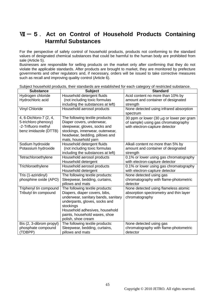# Ⅶ-5.**Act on Control of Household Products Containing Harmful Substances**

For the perspective of safety control of household products, products not conforming to the standard values of designated chemical substances that could be harmful to the human body are prohibited from sale (Article 5).

Businesses are responsible for selling products on the market only after confirming that they do not violate the applicable standards. After products are brought to market, they are monitored by prefecture governments and other regulators and, if necessary, orders will be issued to take corrective measures such as recall and improving quality control (Article 6).

| <b>Substance</b>         | <b>Subject</b>                      | <b>Standard</b>                          |
|--------------------------|-------------------------------------|------------------------------------------|
| Hydrogen chloride        | Household detergent fluids          | Acid content no more than 10% by         |
| Hydrochloric acid        | (not including toxic formulas       | amount and container of designated       |
|                          | including the substances at left)   | strength                                 |
| <b>Vinyl Chloride</b>    | Household aerosol products          | None detected using infrared absorption  |
|                          |                                     | spectrum                                 |
| 4, 6-Dichloro-7 (2, 4,   | The following textile products:     | 30 ppm or lower (30 µg or lower per gram |
| 5-trichloro phenoxy)     | Diaper covers, underwear,           | of sample) using gas chromatography      |
| -2-Trifluoro methyl      | sleepwear, gloves, socks and        | with electron-capture detector           |
| benz imidazole (DTTB)    | stockings, innerwear, outerwear,    |                                          |
|                          | headwear, bedding, pillows and      |                                          |
|                          | mats, household yarn                |                                          |
| Sodium hydroxide         | Household detergent fluids          | Alkali content no more than 5% by        |
| Potassium hydroxide      | (not including toxic formulas       | amount and container of designated       |
|                          | including the substances at left)   | strength                                 |
| Tetrachloroethylene      | Household aerosol products          | 0.1% or lower using gas chromatography   |
|                          | Household detergent                 | with electron-capture detector           |
| Trichloroethylene        | Household aerosol products          | 0.1% or lower using gas chromatography   |
|                          | Household detergent                 | with electron-capture detector           |
| Tris (1-aziridinyl)      | The following textile products:     | None detected using gas                  |
| phosphine oxide (APO)    | Sleepwear, bedding, curtains,       | chromatography with flame-photometric    |
|                          | pillows and mats                    | detector                                 |
| Triphenyl tin compound   | The following textile products:     | None detected using flameless atomic     |
| Tributyl tin compound    | Diapers, diaper covers, bibs,       | absorption spectrometry and thin layer   |
|                          | underwear, sanitary bands, sanitary | chromatography                           |
|                          | underpants, gloves, socks and       |                                          |
|                          | stockings                           |                                          |
|                          | Household adhesives, household      |                                          |
|                          | paints, household waxes, shoe       |                                          |
|                          | polish, shoe cream                  |                                          |
| Bis (2, 3-dibrom propyl) | The following textile products:     | None detected using gas                  |
| phosphate compound       | Sleepwear, bedding, curtains,       | chromatography with flame-photometric    |
| (TDBPP)                  | pillows and mats                    | detector                                 |

Subject household products, their standards are established for each category of restricted substance.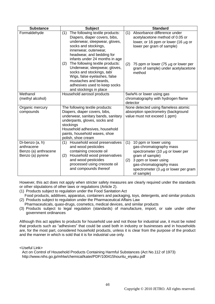| <b>Substance</b>                                                          | <b>Subject</b>                                                                                                                                                                                                                                 | <b>Standard</b>                                                                                                                                                                                                                           |
|---------------------------------------------------------------------------|------------------------------------------------------------------------------------------------------------------------------------------------------------------------------------------------------------------------------------------------|-------------------------------------------------------------------------------------------------------------------------------------------------------------------------------------------------------------------------------------------|
| Formaldehyde                                                              | The following textile products:<br>(1)<br>Diapers, diaper covers, bibs,<br>underwear, sleepwear, gloves,<br>socks and stockings,<br>innerwear, outerwear,<br>headwear, and bedding for<br>infants under 24 months in age                       | Absorbance difference under<br>(1)<br>acetylacetone method of 0.05 or<br>lower, or 16 ppm or lower (16 $\mu$ g or<br>lower per gram of sample)                                                                                            |
|                                                                           | The following textile products:<br>(2)<br>Underwear, sleepwear, gloves,<br>socks and stockings, tabi<br>Wigs, false eyelashes, false<br>mustaches and beards,<br>adhesives used to keep socks<br>and stockings in place                        | (2)<br>75 ppm or lower (75 µg or lower per<br>gram of sample) under acetylacetone<br>method                                                                                                                                               |
| Methanol<br>(methyl alcohol)                                              | Household aerosol products                                                                                                                                                                                                                     | 5w/w% or lower using gas<br>chromatography with hydrogen flame<br>detector                                                                                                                                                                |
| Organic mercury<br>compounds                                              | The following textile products:<br>Diapers, diaper covers, bibs,<br>underwear, sanitary bands, sanitary<br>underpants, gloves, socks and<br>stockings<br>Household adhesives, household<br>paints, household waxes, shoe<br>polish, shoe cream | None detected using flameless atomic<br>absorption spectrometry (background<br>value must not exceed 1 ppm)                                                                                                                               |
| Di-benzo (a, h)<br>anthracene<br>Benzo (a) anthracene<br>Benzo (a) pyrene | Household wood preservatives<br>(1)<br>and wood pesticides<br>containing creosote oil<br>Household wood preservatives<br>(2)<br>and wood pesticides<br>processed using creosote oil<br>and compounds thereof                                   | (1)<br>10 ppm or lower using<br>gas-chromatography mass<br>spectrometer (10 $\mu$ g or lower per<br>gram of sample)<br>3 ppm or lower using<br>(2)<br>gas-chromatography mass<br>spectrometer $(3 \mu g)$ or lower per gram<br>of sample) |

However, this act does not apply when stricter safety measures are clearly required under the standards or other stipulations of other laws or regulations (Article 2).

- (1) Products subject to regulation under the Food Sanitation Act
- Food products, additives, apparatus, containers and packaging, toys, detergents, and similar products (2) Products subject to regulation under the Pharmaceutical Affairs Law
- Pharmaceuticals, quasi-drugs, cosmetics, medical devices, and similar products
- (3) Products subject to legal regulation (standards) of manufacture, import, or sale under other government ordinances

Although this act applies to products for household use and not those for industrial use, it must be noted that products such as "adhesives" that could be used both in industry or businesses and in households are, for the most part, considered household products, unless it is clear from the purpose of the product and the manner in which is sold that it is for industrial use only.

<Useful Link>

Act on Control of Household Products Containing Harmful Substances (Act No.112 of 1973) http://www.nihs.go.jp/mhlw/chemical/katei/PDF/100415houritu\_eiyaku.pdf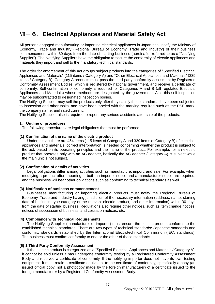# Ⅶ-6.**Electrical Appliances and Material Safety Act**

All persons engaged manufacturing or importing electrical appliances in Japan shall notify the Ministry of Economy, Trade and Industry (Regional Bureau of Economy, Trade and Industry) of their business commencement within 30 days from the date of starting business (hereinafter referred to as a "Notifying Supplier"). The Notifying Suppliers have the obligation to secure the conformity of electric appliances and materials they import and sell to the mandatory technical standards.

The order for enforcement of this act groups subject products into the categories of "Specified Electrical Appliances and Materials" (115 items / Category A) and "Other Electrical Appliances and Materials" (339 items / Category B). Category A products must pass the third-party conformity assesment by Registered Conformity Assessment Bodies, which is registered by national government, and receive a certificate of conformity. Self-confirmation of conformity is required for Categories A and B (all regulated Electrical Appliances and Materials) whose methods are designated by the government. Also this self-inspection may be subcontracted to designated inspection bodies.

The Notifying Supplier may sell the products only after they satisfy these standards, have been subjected to inspection and other tasks, and have been labeled with the marking required such as the PSE mark, the company name, and rated current.

The Notifying Supplier also is required to report any serious accidents after sale of the products.

# **1. Outline of procedures**

The following procedures are legal obligations that must be performed.

# **(1) Confirmation of the name of the electric product**

Under this act there are 454 items (115 items of Category A and 339 items of Category B) of electrical appliances and materials, correct interpretation is needed concerning whether the product is subject to the act, based on its operating principles and the name of the product. For example, for an electric product that operates only with an AC adapter, basically the AC adapter (Category A) is subject while the main unit is not subject.

# **(2) Confirmation of details of activities**

Legal obligations differ among activities such as manufacture, import, and sale. For example, when modifying a product after importing it, both an importer notice and a manufacturer notice are required, and the business will bear other obligations such as conforming to technical standards as well.

#### **(3) Notification of business commencement**

Businesses manufacturing or importing electric products must notify the Regional Bureau of Economy, Trade and Industry having jurisdiction of the necessary information (address, name, starting date of business, type category of the relevant electric product, and other information) within 30 days from the date of starting business. Regulations also require other notices, such as item change notices, notices of succession of business, and cessation notices, etc.

# **(4) Compliance with Technical Requirements**

The Notifying Supplier (manufacturer or importer) must ensure the electric product conforms to the established technical standards. There are two types of technical standards: Japanese standards and conformity standards established by the International Electrotechnical Commission (IEC; standards). The business must confirm conformity to one or the other of these standards.

# **(5)-1 Third-Party Conformity Assessment**

If the electric product is categorized as a "Specified Electrical Appliances and Materials / Category A", it cannot be sold unless it has undergone conformity testing by a Registered Conformity Assessment Body and received a certificate of conformity. If the notifying importer does not have its own testing equipment, it must retain a certificate equivalent to the certificate of conformity, specifically a copy (an issued official copy, not a photocopy made by the foreign manufacturer) of a certificate issued to the foreign manufacturer by a Registered Conformity Assessment Body.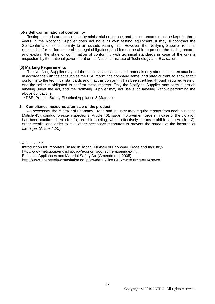#### **(5)-2 Self-confirmation of conformity**

Testing methods are established by ministerial ordinance, and testing records must be kept for three years. If the Notifying Supplier does not have its own testing equipment, it may subcontract the Self-confirmation of conformity to an outside testing firm. However, the Notifying Supplier remains responsible for performance of the legal obligations, and it must be able to present the testing records and explain the state of confirmation of conformity with technical standards in case of the on-site inspection by the national government or the National Institute of Technology and Evaluation.

#### **(6) Marking Requirements**

The Notifying Supplier may sell the electrical appliances and materials only after it has been attached in accordance with the act such as the PSE mark\*, the company name, and rated current, to show that it conforms to the technical standards and that this conformity has been certified through required testing, and the seller is obligated to confirm these matters. Only the Notifying Supplier may carry out such labeling under the act, and the Notifying Supplier may not use such labeling without performing the above obligations.

\* PSE: Product Safety Electrical Appliance & Materials

#### **2. Compliance measures after sale of the product**

As necessary, the Minister of Economy, Trade and Industry may require reports from each business (Article 45), conduct on-site inspections (Article 46), issue improvement orders in case of the violation has been confirmed (Article 11), prohibit labeling, which effectively means prohibit sale (Article 12), order recalls, and order to take other necessary measures to prevent the spread of the hazards or damages (Article 42-5).

<Useful Link>

Introduction for Importers Based in Japan (Ministry of Economy, Trade and Industry) http://www.meti.go.jp/english/policy/economy/consumer/pse/index.html Electrical Appliances and Material Safety Act (Amendment: 2005) http://www.japaneselawtranslation.go.jp/law/detail/?id=1916&vm=04&re=01&new=1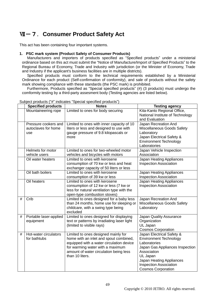# Ⅶ-7.**Consumer Product Safety Act**

This act has been containing four important systems.

# **1. PSC mark system (Product Safety of Consumer Products)**

Manufacturers and importers of products specified as "Specified products" under a ministerial ordinance based on this act must submit the "Notice of Manufacture/Import of Specified Products" to the Regional Bureau of Economy, Trade and Industry with jurisdiction (or the Minister of Economy, Trade and Industry if the applicant's business facilities are in multiple districts).

Specified products must conform to the technical requirements established by a Ministerial Ordinance for each product (Self-confirmation of conformity), and sale of products without the safety mark showing compliance with these standards (the PSC mark) is prohibited.

Furthermore, Products specified as "Special specified products" (#) (3 products) must undergo the comformity testing by a third-party assesment body (Testing agencies are listed below).

|   | <b>Specified products</b>                          | <b>Notes</b>                                                                                                                                                                                                               | <b>Testing agency</b>                                                                                                                                                                                                              |
|---|----------------------------------------------------|----------------------------------------------------------------------------------------------------------------------------------------------------------------------------------------------------------------------------|------------------------------------------------------------------------------------------------------------------------------------------------------------------------------------------------------------------------------------|
|   | Mountaineering rope                                | Limited to ones for body securing                                                                                                                                                                                          | Kita-Kanto Regional Office,<br>National Institute of Technology<br>and Evaluation                                                                                                                                                  |
|   | Pressure cookers and<br>autoclaves for home<br>use | Limited to ones with inner capacity of 10<br>liters or less and designed to use with<br>gauge pressure of 9.8 kilopascals or<br>more                                                                                       | Japan Recreation And<br>Miscellaneous Goods Safety<br>Laboratory<br>Japan Electrical Safety &<br><b>Environment Technology</b><br>Laboratories                                                                                     |
|   | Helmets for motor<br>vehicle users                 | Limited to ones for two-wheeled motor<br>vehicles and bicycles with motors                                                                                                                                                 | Japan Vehicle Inspection<br>Association                                                                                                                                                                                            |
|   | Oil water heaters                                  | Limited to ones with kerosene<br>consumption of 70 kw or less and heat<br>exchanger capacity of 50 liters or less                                                                                                          | Japan Heating Appliances<br><b>Inspection Association</b>                                                                                                                                                                          |
|   | Oil bath boilers                                   | Limited to ones with kerosene<br>consumption of 39 kw or less                                                                                                                                                              | Japan Heating Appliances<br><b>Inspection Association</b>                                                                                                                                                                          |
|   | Oil heaters                                        | Limited to ones with kerosene<br>consumption of 12 kw or less (7 kw or<br>less for natural ventilation type with the<br>open-type combustion stoves)                                                                       | Japan Heating Appliances<br><b>Inspection Association</b>                                                                                                                                                                          |
| # | Crib                                               | Limited to ones designed for a baby less<br>than 24 months, home use for sleeping or<br>childcare, with a swing type being<br>excluded                                                                                     | Japan Recreation And<br>Miscellaneous Goods Safety<br>Laboratory                                                                                                                                                                   |
| # | Portable laser-applied<br>equipment                | Limited to ones designed for displaying<br>text or patterns by irradiating laser light<br>(limited to visible rays)                                                                                                        | Japan Quality Assurance<br>Organization<br>UL Japan<br><b>Cosmos Corporation</b>                                                                                                                                                   |
| # | Hot-water circulators<br>for bathtubs              | Limited to ones designed mainly for<br>home with an inlet and spout combined,<br>equipped with a water circulation device<br>for warming water with a maximum<br>amount of water circulation being less<br>than 10 liters. | Japan Electrical Safety &<br><b>Environment Technology</b><br>Laboratories<br>Japan Gas Appliances Inspection<br>Association<br>UL Japan<br>Japan Heating Appliances<br><b>Inspection Association</b><br><b>Cosmos Corporation</b> |

# Subject products ("#" indicates "Special specified products")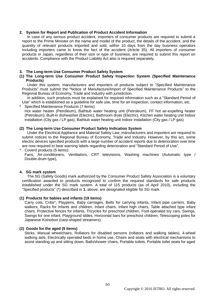# **2. System for Report and Publication of Product Accident Information**

In case of any serious product accident, importers of consumer products are required to submit a report to the Prime Minister on the name and model of the product, the details of the accident, and the quantity of relevant products imported and sold, within 10 days from the day business operators including importers came to know the fact of the accident (Article 35). All importers of consumer products in Japan, regardless of their size or type of business, are required to submit this report on accidents. Compliance with the Product Liability Act also is required separately.

# **3. The Long-term Use Consumer Product Safety System**

# **(1) The Long-term Use Consumer Product Safety Inspection System (Specified Maintenance Products)**

Under this system, manufacturers and importers of products subject to "Specified Maintenance Products" must submit the "Notice of Manufacture/Import of Specified Maintenance Products" to the Regional Bureau of Economy, Trade and Industry with jurisdiction.

In addition, such products must be explained for required information such as a "Standard Period of Use" which is established as a guideline for safe use, time for an inspection, contact information, etc.

# \* Specified Maintenance Products (7 items):

Hot water heater (Petroleum), Bathtub water heating unit (Petroleum), FF hot air-expelling heater (Petroleum), Built-in dishwasher (Electric), Bathroom dryer (Electric), Kitchen water heating unit Indoor installation (City gas / LP gas), Bathtub water heating unit Indoor installation (City gas / LP gas)

# **(2) The Long-term Use Consumer Product Safety Indication System**

Under the Electrical Appliance and Material Safety Law, manufacturers and importers are required to submit notices to the Regional Bureau of Economy, Trade and Industry. However, by this act, some electric devices specified products with a large number of accident reports due to deterioration over time are now required to bear warning labels regarding deterioration and "Standard Period of Use".

#### Coverd products (5 items):

Fans, Air-conditioners, Ventilatiors, CRT televisions, Washing machines (Automatic type / Double-drum type),

# **4. SG mark system**

The SG (Safety Goods) mark authorized by the Consumer Product Safety Association is a voluntary certification awarded to products recognized to confirm the required standards for safe products established under the SG mark system. A total of 115 products (as of April 2010), including the "Specified products" (\*) described in **1.** above, are designated eligible for SG mark.

# **(1) Products for babies and infants (19 items)**

Carry cots, Cribs\*, Playpens, Baby carriages, Belts for carrying infants, Infant pipe carriers, Baby walkers, Racks for infants and children, Infant chairs, Infant high chairs, Table attached type infant chairs, Protective fences for infants, Tricycles for preschool children, Foot-operated toy cars, Swings, Swings for one infant, Playground slides, Horizontal bars for preschool children, Telescoping poles for Japanese *Koinobori* (carp-shaped streamers)

# **(2) Goods for the aged (9 items)**

Sticks, Manual wheelchairs, Rollators for disabled persons (rollators and walking tables), 4-wheel walking aids, Electrically operated beds in home use, Chairs and seats with electrical mechanisms to assist standing up and sitting down, Bath/shower chairs, Portable toilets, Portable toilet seats for aged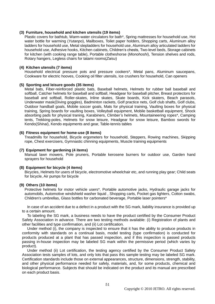# **(3) Furniture, household and kitchen utensils (19 items)**

Plastic covers for bathtub, Warm-water circulators for bath\*, Spring mattresses for household use, Hot water bottle for warming (*Yutanpo*), Mailboxes, Toilet paper holders, Shopping carts, Aluminum alloy ladders for household use, Metal stepladders for household use, Aluminum alloy articulated ladders for household use, Adhesive hooks, Kitchen cabinets, Children"s chests, Two-level beds, Storage cabinets for kitchen (with cooking range table), Portable clotheshorse (*Monohoshi*), Tension shelves and rods, Rotary hangers, Legless chairs for tatami rooms(*Zaisu*)

### **(4) Kitchen utensils (7 items)**

Household electrical pressure pots and pressure cookers\*, Metal pans, Aluminum saucepans, Cookware for electric hooves, Cooking oil filter utensils, Ice crushers for household, Can openers

#### **(5) Sporting and leisure goods (35 items)**

Metal bats, Fiber-reinforced plastic bats, Baseball helmets, Helmets for rubber ball baseball and softball, Catcher helmets for baseball and softball, Headgear for baseball pitcher, Breast protectors for baseball and softball, Roller-skates, Inline skates, Skate boards, Kick skaters, Beach parasols, Underwater mask(Diving goggles), Badminton rackets, Golf practice nets, Golf club shafts, Golf clubs, Outdoor handball goals, Mobile soccer goals, Mats for physical training, Vaulting boxes for physical training, Spring boards for vaulting boxes, Volleyball equipment, Mobile basketball equipment, Shock absorbing pads for physical traning, Karabiners, Climber"s helmets, Mountaineering ropes\*, Camping tents, Trekking-poles, Helmets for snow leisure, Headgear for snow leisure, Bamboo swords for Kendo(*Shinai*), Kendo equipments and gear, Table-tennis tables

#### **(6) Fitness equipment for home-use (8 items)**

Treadmills for household, Bicycle ergometers for household, Steppers, Rowing machines, Skipping rope, Chest exercisers, Gymnastic chinning equipments, Muscle training equipments

#### **(7) Equipment for gardening (4 items)**

Manual lawn mowers, Pole pruners, Portable kerosene burners for outdoor use, Garden hand sprayers for household

#### **(8) Equipment for bicycle (4 items)**

Bicycles, Helmets for users of bicycle, electromotive wheelchair etc, and running play gear; Child seats for bicycle, Air pumps for bicycle

#### **(9) Others (10 items)**

Protective helmets for motor vehicle users\*, Portable automotive jacks, Hydraulic garage jacks for automobils, Automotive windshield washer liquid , Shopping carts, Pocket gas lighters, Cotton swabs, Children's umbrellas, Glass bottles for carbonated beverage, Portable laser pointers\*

In case of an accident due to a defect in a product with the SG mark, liability insurance is provided up to a certain amount.

To labeling the SG mark, a business needs to have the product certified by the Consumer Product Safety Association in advance. There are two testing methods available: (i) Registration of plants and other facilities and type confirmation, and (ii) Lot certification.

Under method (i), the company is inspected to ensure that it has the ability to produce products in conformity with standards on a continual basis, model testing (type confirmation) is conducted for products produced at a plant that has passed inspection, and if this inspection is passed products passing in-house inspection may be labeled SG mark within the permissive period (which varies by product).

Under method (ii) Lot certification, the testing agency certified by the Consumer Product Safety Association tests samples of lots, and only lots that pass this sample testing may be labeled SG mark. Certification standards include those on external appearances, structure, dimensions, strength, stability, and other physical performance needed for safety, materials, and, for some products, chemical and biological performance. Subjects that should be indicated on the product and its manual are prescribed on each product basis.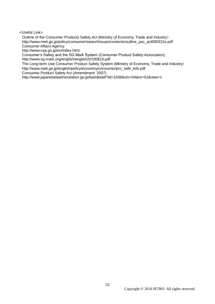<Useful Link>

Outline of the Consumer Products Safety Act (Ministry of Economy, Trade and Industry) http://www.meti.go.jp/policy/consumer/seian/shouan/contents/outline\_psc\_act090331e.pdf Consumer Affairs Agency

http://www.caa.go.jp/en/index.html

Consumer"s Safety and the SG Mark System (Consumer Product Safety Association) http://www.sg-mark.org/english/english20100810.pdf

The Long-term Use Consumer Product Safety System (Ministry of Economy, Trade and Industry) http://www.meti.go.jp/english/policy/economy/consumer/pro\_safe\_info.pdf

Consumer Product Safety Act (Amendment: 2007)

http://www.japaneselawtranslation.go.jp/law/detail/?id=1838&vm=04&re=01&new=1